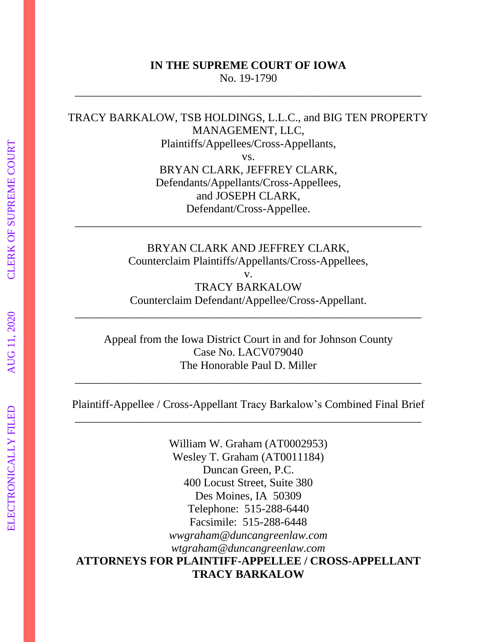#### **IN THE SUPREME COURT OF IOWA** No. 19-1790

\_\_\_\_\_\_\_\_\_\_\_\_\_\_\_\_\_\_\_\_\_\_\_\_\_\_\_\_\_\_\_\_\_\_\_\_\_\_\_\_\_\_\_\_\_\_\_\_\_\_\_\_\_\_\_\_\_\_\_\_\_

TRACY BARKALOW, TSB HOLDINGS, L.L.C., and BIG TEN PROPERTY MANAGEMENT, LLC, Plaintiffs/Appellees/Cross-Appellants,

vs. BRYAN CLARK, JEFFREY CLARK, Defendants/Appellants/Cross-Appellees, and JOSEPH CLARK, Defendant/Cross-Appellee.

BRYAN CLARK AND JEFFREY CLARK, Counterclaim Plaintiffs/Appellants/Cross-Appellees,

\_\_\_\_\_\_\_\_\_\_\_\_\_\_\_\_\_\_\_\_\_\_\_\_\_\_\_\_\_\_\_\_\_\_\_\_\_\_\_\_\_\_\_\_\_\_\_\_\_\_\_\_\_\_\_\_\_\_\_\_\_

v. TRACY BARKALOW Counterclaim Defendant/Appellee/Cross-Appellant.

\_\_\_\_\_\_\_\_\_\_\_\_\_\_\_\_\_\_\_\_\_\_\_\_\_\_\_\_\_\_\_\_\_\_\_\_\_\_\_\_\_\_\_\_\_\_\_\_\_\_\_\_\_\_\_\_\_\_\_\_\_

Appeal from the Iowa District Court in and for Johnson County Case No. LACV079040 The Honorable Paul D. Miller

Plaintiff-Appellee / Cross-Appellant Tracy Barkalow's Combined Final Brief \_\_\_\_\_\_\_\_\_\_\_\_\_\_\_\_\_\_\_\_\_\_\_\_\_\_\_\_\_\_\_\_\_\_\_\_\_\_\_\_\_\_\_\_\_\_\_\_\_\_\_\_\_\_\_\_\_\_\_\_\_

\_\_\_\_\_\_\_\_\_\_\_\_\_\_\_\_\_\_\_\_\_\_\_\_\_\_\_\_\_\_\_\_\_\_\_\_\_\_\_\_\_\_\_\_\_\_\_\_\_\_\_\_\_\_\_\_\_\_\_\_\_

William W. Graham (AT0002953) Wesley T. Graham (AT0011184) Duncan Green, P.C. 400 Locust Street, Suite 380 Des Moines, IA 50309 Telephone: 515-288-6440 Facsimile: 515-288-6448 *wwgraham@duncangreenlaw.com wtgraham@duncangreenlaw.com* **ATTORNEYS FOR PLAINTIFF-APPELLEE / CROSS-APPELLANT TRACY BARKALOW**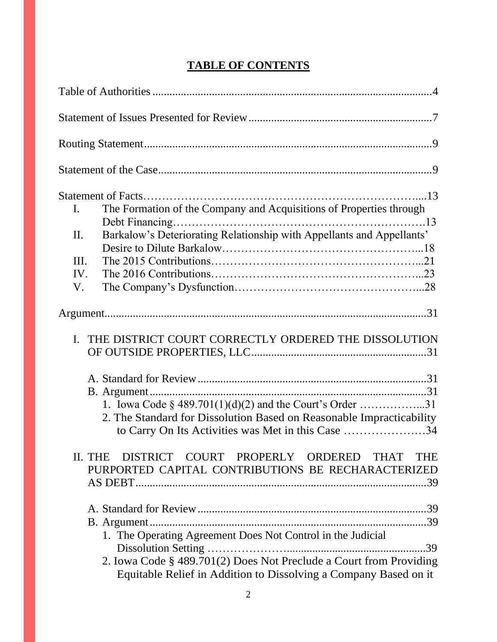| The Formation of the Company and Acquisitions of Properties through<br>I.<br>Barkalow's Deteriorating Relationship with Appellants and Appellants'<br>II.<br>III.<br>IV.<br>V.                        |
|-------------------------------------------------------------------------------------------------------------------------------------------------------------------------------------------------------|
|                                                                                                                                                                                                       |
| THE DISTRICT COURT CORRECTLY ORDERED THE DISSOLUTION<br>$\mathbf{I}$ .                                                                                                                                |
| 1. Iowa Code $\S$ 489.701(1)(d)(2) and the Court's Order 31<br>2. The Standard for Dissolution Based on Reasonable Impracticability<br>to Carry On Its Activities was Met in this Case 34             |
| DISTRICT COURT PROPERLY ORDERED<br>II. THE<br><b>THAT</b><br><b>THE</b><br>PURPORTED CAPITAL CONTRIBUTIONS BE RECHARACTERIZED                                                                         |
| 1. The Operating Agreement Does Not Control in the Judicial<br>2. Iowa Code § 489.701(2) Does Not Preclude a Court from Providing<br>Equitable Relief in Addition to Dissolving a Company Based on it |

# **TABLE OF CONTENTS**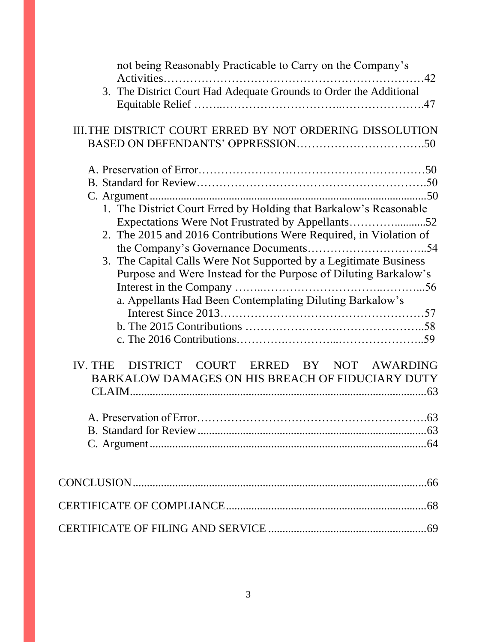| not being Reasonably Practicable to Carry on the Company's         |
|--------------------------------------------------------------------|
| 3. The District Court Had Adequate Grounds to Order the Additional |
|                                                                    |
| III. THE DISTRICT COURT ERRED BY NOT ORDERING DISSOLUTION          |
|                                                                    |
|                                                                    |
|                                                                    |
|                                                                    |
| 1. The District Court Erred by Holding that Barkalow's Reasonable  |
|                                                                    |
| 2. The 2015 and 2016 Contributions Were Required, in Violation of  |
|                                                                    |
| 3. The Capital Calls Were Not Supported by a Legitimate Business   |
| Purpose and Were Instead for the Purpose of Diluting Barkalow's    |
|                                                                    |
| a. Appellants Had Been Contemplating Diluting Barkalow's           |
|                                                                    |
|                                                                    |
|                                                                    |
| IV. THE DISTRICT COURT ERRED BY NOT AWARDING                       |
| BARKALOW DAMAGES ON HIS BREACH OF FIDUCIARY DUTY                   |
|                                                                    |
|                                                                    |
|                                                                    |
|                                                                    |
|                                                                    |
|                                                                    |
|                                                                    |
|                                                                    |
|                                                                    |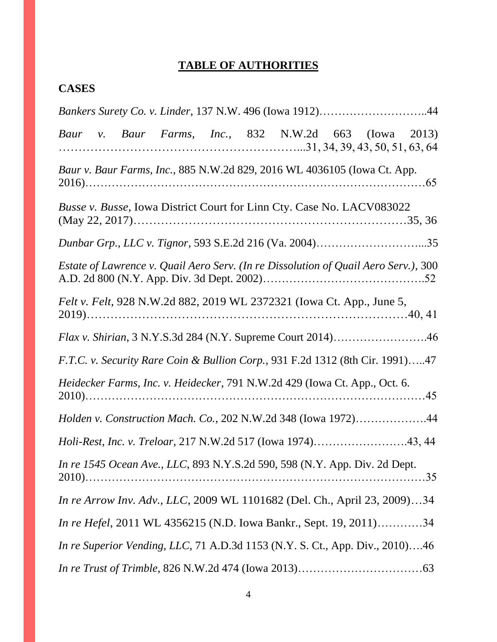# **TABLE OF AUTHORITIES**

# **CASES**

|  |  |  | Bankers Surety Co. v. Linder, 137 N.W. 496 (Iowa 1912)44                            |  |  |
|--|--|--|-------------------------------------------------------------------------------------|--|--|
|  |  |  | Baur v. Baur Farms, Inc., 832 N.W.2d 663 (Iowa 2013)                                |  |  |
|  |  |  | Baur v. Baur Farms, Inc., 885 N.W.2d 829, 2016 WL 4036105 (Iowa Ct. App.            |  |  |
|  |  |  | Busse v. Busse, Iowa District Court for Linn Cty. Case No. LACV083022               |  |  |
|  |  |  | Dunbar Grp., LLC v. Tignor, 593 S.E.2d 216 (Va. 2004)35                             |  |  |
|  |  |  | Estate of Lawrence v. Quail Aero Serv. (In re Dissolution of Quail Aero Serv.), 300 |  |  |
|  |  |  | Felt v. Felt, 928 N.W.2d 882, 2019 WL 2372321 (Iowa Ct. App., June 5,               |  |  |
|  |  |  | <i>Flax v. Shirian, 3 N.Y.S.3d 284 (N.Y. Supreme Court 2014)46</i>                  |  |  |
|  |  |  | F.T.C. v. Security Rare Coin & Bullion Corp., 931 F.2d 1312 (8th Cir. 1991)47       |  |  |
|  |  |  | Heidecker Farms, Inc. v. Heidecker, 791 N.W.2d 429 (Iowa Ct. App., Oct. 6.          |  |  |
|  |  |  | Holden v. Construction Mach. Co., 202 N.W.2d 348 (Iowa 1972)44                      |  |  |
|  |  |  | Holi-Rest, Inc. v. Treloar, 217 N.W.2d 517 (Iowa 1974)43, 44                        |  |  |
|  |  |  | In re 1545 Ocean Ave., LLC, 893 N.Y.S.2d 590, 598 (N.Y. App. Div. 2d Dept.          |  |  |
|  |  |  | In re Arrow Inv. Adv., LLC, 2009 WL 1101682 (Del. Ch., April 23, 2009)34            |  |  |
|  |  |  | <i>In re Hefel</i> , 2011 WL 4356215 (N.D. Iowa Bankr., Sept. 19, 2011)34           |  |  |
|  |  |  | <i>In re Superior Vending, LLC, 71 A.D.3d 1153 (N.Y. S. Ct., App. Div., 2010)46</i> |  |  |
|  |  |  |                                                                                     |  |  |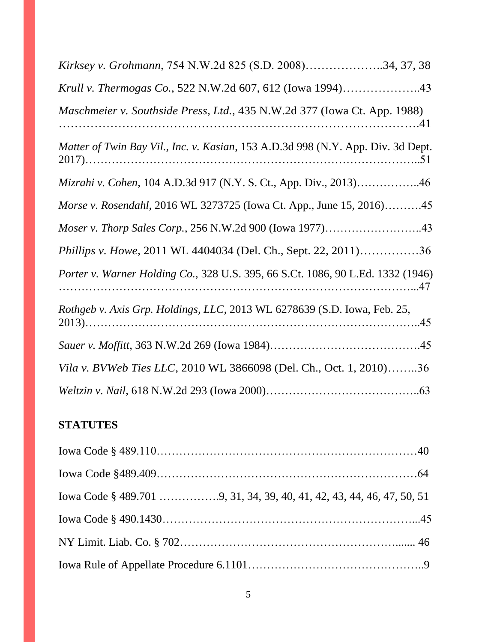| Kirksey v. Grohmann, 754 N.W.2d 825 (S.D. 2008)34, 37, 38                        |
|----------------------------------------------------------------------------------|
| Krull v. Thermogas Co., 522 N.W.2d 607, 612 (Iowa 1994)43                        |
| Maschmeier v. Southside Press, Ltd., 435 N.W.2d 377 (Iowa Ct. App. 1988)         |
| Matter of Twin Bay Vil., Inc. v. Kasian, 153 A.D.3d 998 (N.Y. App. Div. 3d Dept. |
| Mizrahi v. Cohen, 104 A.D.3d 917 (N.Y. S. Ct., App. Div., 2013)46                |
| Morse v. Rosendahl, 2016 WL 3273725 (Iowa Ct. App., June 15, 2016)45             |
| Moser v. Thorp Sales Corp., 256 N.W.2d 900 (Iowa 1977)43                         |
| Phillips v. Howe, 2011 WL 4404034 (Del. Ch., Sept. 22, 2011)36                   |
| Porter v. Warner Holding Co., 328 U.S. 395, 66 S.Ct. 1086, 90 L.Ed. 1332 (1946)  |
| Rothgeb v. Axis Grp. Holdings, LLC, 2013 WL 6278639 (S.D. Iowa, Feb. 25,         |
|                                                                                  |
| Vila v. BVWeb Ties LLC, 2010 WL 3866098 (Del. Ch., Oct. 1, 2010)36               |
|                                                                                  |

# **STATUTES**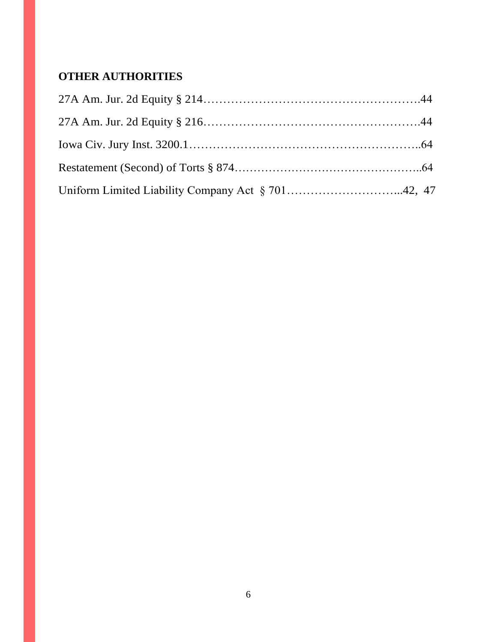# **OTHER AUTHORITIES**

| Uniform Limited Liability Company Act § 70142, 47 |  |
|---------------------------------------------------|--|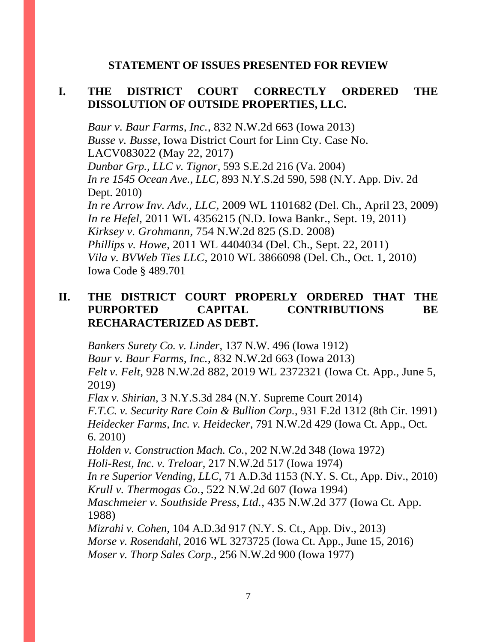### **STATEMENT OF ISSUES PRESENTED FOR REVIEW**

# **I. THE DISTRICT COURT CORRECTLY ORDERED THE DISSOLUTION OF OUTSIDE PROPERTIES, LLC.**

*Baur v. Baur Farms, Inc.*, 832 N.W.2d 663 (Iowa 2013) *Busse v. Busse*, Iowa District Court for Linn Cty. Case No. LACV083022 (May 22, 2017) *Dunbar Grp., LLC v. Tignor*, 593 S.E.2d 216 (Va. 2004) *In re 1545 Ocean Ave., LLC*, 893 N.Y.S.2d 590, 598 (N.Y. App. Div. 2d Dept. 2010) *In re Arrow Inv. Adv., LLC*, 2009 WL 1101682 (Del. Ch., April 23, 2009) *In re Hefel*, 2011 WL 4356215 (N.D. Iowa Bankr., Sept. 19, 2011) *Kirksey v. Grohmann*, 754 N.W.2d 825 (S.D. 2008) *Phillips v. Howe*, 2011 WL 4404034 (Del. Ch., Sept. 22, 2011) *Vila v. BVWeb Ties LLC*, 2010 WL 3866098 (Del. Ch., Oct. 1, 2010) Iowa Code § 489.701

# **II. THE DISTRICT COURT PROPERLY ORDERED THAT THE PURPORTED CAPITAL CONTRIBUTIONS BE RECHARACTERIZED AS DEBT.**

*Bankers Surety Co. v. Linder*, 137 N.W. 496 (Iowa 1912) *Baur v. Baur Farms, Inc.*, 832 N.W.2d 663 (Iowa 2013) *Felt v. Felt*, 928 N.W.2d 882, 2019 WL 2372321 (Iowa Ct. App., June 5, 2019)

*Flax v. Shirian*, 3 N.Y.S.3d 284 (N.Y. Supreme Court 2014) *F.T.C. v. Security Rare Coin & Bullion Corp.*, 931 F.2d 1312 (8th Cir. 1991) *Heidecker Farms, Inc. v. Heidecker*, 791 N.W.2d 429 (Iowa Ct. App., Oct. 6. 2010)

*Holden v. Construction Mach. Co.*, 202 N.W.2d 348 (Iowa 1972) *Holi-Rest, Inc. v. Treloar*, 217 N.W.2d 517 (Iowa 1974)

*In re Superior Vending, LLC*, 71 A.D.3d 1153 (N.Y. S. Ct., App. Div., 2010) *Krull v. Thermogas Co.*, 522 N.W.2d 607 (Iowa 1994)

*Maschmeier v. Southside Press, Ltd.*, 435 N.W.2d 377 (Iowa Ct. App. 1988)

*Mizrahi v. Cohen*, 104 A.D.3d 917 (N.Y. S. Ct., App. Div., 2013) *Morse v. Rosendahl*, 2016 WL 3273725 (Iowa Ct. App., June 15, 2016) *Moser v. Thorp Sales Corp.*, 256 N.W.2d 900 (Iowa 1977)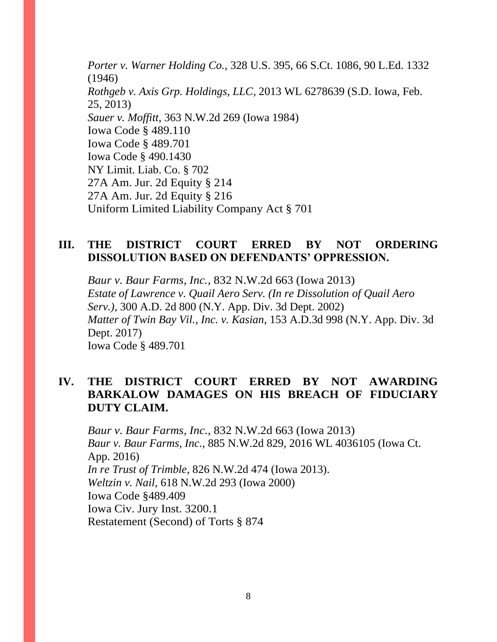*Porter v. Warner Holding Co.,* [328 U.S. 395, 66 S.Ct. 1086, 90 L.Ed. 1332](http://www.westlaw.com/Link/Document/FullText?findType=Y&serNum=1946114816&pubNum=708&originatingDoc=I90df8d0c969a11d9bc61beebb95be672&refType=RP&fi=co_pp_sp_708_1088&originationContext=document&vr=3.0&rs=cblt1.0&transitionType=DocumentItem&contextData=(sc.DocLink)#co_pp_sp_708_1088)  [\(1946\)](http://www.westlaw.com/Link/Document/FullText?findType=Y&serNum=1946114816&pubNum=708&originatingDoc=I90df8d0c969a11d9bc61beebb95be672&refType=RP&fi=co_pp_sp_708_1088&originationContext=document&vr=3.0&rs=cblt1.0&transitionType=DocumentItem&contextData=(sc.DocLink)#co_pp_sp_708_1088) *Rothgeb v. Axis Grp. Holdings, LLC*, 2013 WL 6278639 (S.D. Iowa, Feb. 25, 2013) *Sauer v. Moffitt*, 363 N.W.2d 269 (Iowa 1984) Iowa Code § 489.110 Iowa Code § 489.701 Iowa Code § 490.1430 NY Limit. Liab. Co. § 702 27A Am. Jur. 2d Equity § 214 27A Am. Jur. 2d Equity § 216 Uniform Limited Liability Company Act § 701

### **III. THE DISTRICT COURT ERRED BY NOT ORDERING DISSOLUTION BASED ON DEFENDANTS' OPPRESSION.**

*Baur v. Baur Farms, Inc.*, 832 N.W.2d 663 (Iowa 2013) *Estate of Lawrence v. Quail Aero Serv. (In re Dissolution of Quail Aero Serv.)*, 300 A.D. 2d 800 (N.Y. App. Div. 3d Dept. 2002) *Matter of Twin Bay Vil., Inc. v. Kasian*, 153 A.D.3d 998 (N.Y. App. Div. 3d Dept. 2017) Iowa Code § 489.701

# **IV. THE DISTRICT COURT ERRED BY NOT AWARDING BARKALOW DAMAGES ON HIS BREACH OF FIDUCIARY DUTY CLAIM.**

*Baur v. Baur Farms, Inc.*, 832 N.W.2d 663 (Iowa 2013) *Baur v. Baur Farms, Inc.*, 885 N.W.2d 829, 2016 WL 4036105 (Iowa Ct. App. 2016) *In re Trust of Trimble*, 826 N.W.2d 474 (Iowa 2013). *Weltzin v. Nail*, 618 N.W.2d 293 (Iowa 2000) Iowa Code §489.409 Iowa Civ. Jury Inst. 3200.1 Restatement (Second) of Torts § 874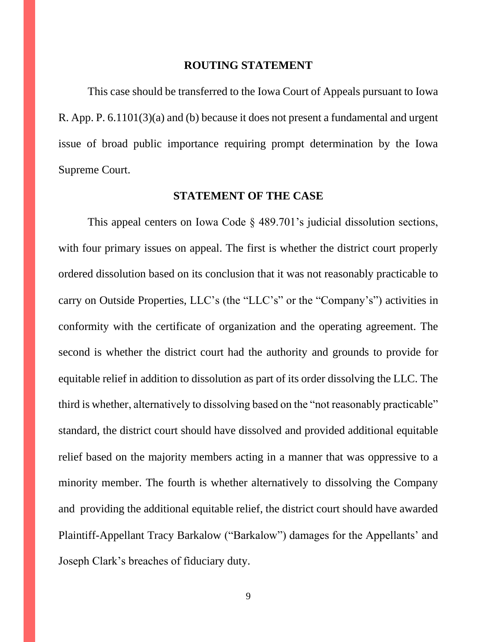#### **ROUTING STATEMENT**

This case should be transferred to the Iowa Court of Appeals pursuant to Iowa R. App. P. 6.1101(3)(a) and (b) because it does not present a fundamental and urgent issue of broad public importance requiring prompt determination by the Iowa Supreme Court.

#### **STATEMENT OF THE CASE**

This appeal centers on Iowa Code § 489.701's judicial dissolution sections, with four primary issues on appeal. The first is whether the district court properly ordered dissolution based on its conclusion that it was not reasonably practicable to carry on Outside Properties, LLC's (the "LLC's" or the "Company's") activities in conformity with the certificate of organization and the operating agreement. The second is whether the district court had the authority and grounds to provide for equitable relief in addition to dissolution as part of its order dissolving the LLC. The third is whether, alternatively to dissolving based on the "not reasonably practicable" standard, the district court should have dissolved and provided additional equitable relief based on the majority members acting in a manner that was oppressive to a minority member. The fourth is whether alternatively to dissolving the Company and providing the additional equitable relief, the district court should have awarded Plaintiff-Appellant Tracy Barkalow ("Barkalow") damages for the Appellants' and Joseph Clark's breaches of fiduciary duty.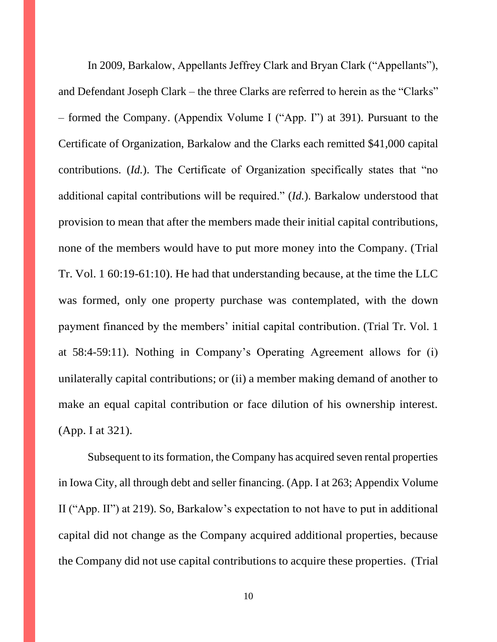In 2009, Barkalow, Appellants Jeffrey Clark and Bryan Clark ("Appellants"), and Defendant Joseph Clark – the three Clarks are referred to herein as the "Clarks" – formed the Company. (Appendix Volume I ("App. I") at 391). Pursuant to the Certificate of Organization, Barkalow and the Clarks each remitted \$41,000 capital contributions. (*Id.*). The Certificate of Organization specifically states that "no additional capital contributions will be required." (*Id.*). Barkalow understood that provision to mean that after the members made their initial capital contributions, none of the members would have to put more money into the Company. (Trial Tr. Vol. 1 60:19-61:10). He had that understanding because, at the time the LLC was formed, only one property purchase was contemplated, with the down payment financed by the members' initial capital contribution. (Trial Tr. Vol. 1 at 58:4-59:11). Nothing in Company's Operating Agreement allows for (i) unilaterally capital contributions; or (ii) a member making demand of another to make an equal capital contribution or face dilution of his ownership interest. (App. I at 321).

Subsequent to its formation, the Company has acquired seven rental properties in Iowa City, all through debt and seller financing. (App. I at 263; Appendix Volume II ("App. II") at 219). So, Barkalow's expectation to not have to put in additional capital did not change as the Company acquired additional properties, because the Company did not use capital contributions to acquire these properties. (Trial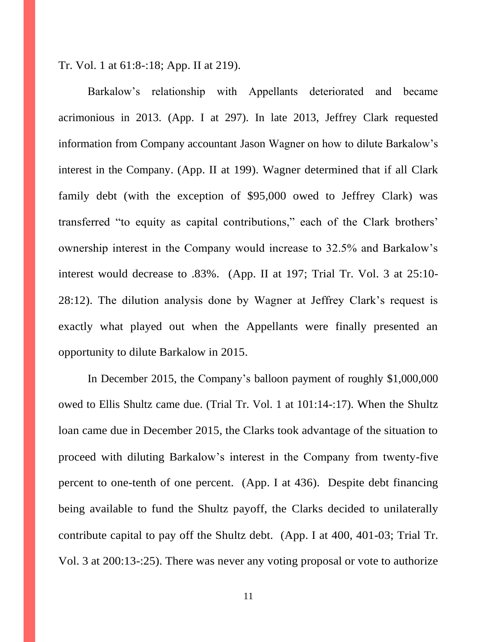Tr. Vol. 1 at 61:8-:18; App. II at 219).

Barkalow's relationship with Appellants deteriorated and became acrimonious in 2013. (App. I at 297). In late 2013, Jeffrey Clark requested information from Company accountant Jason Wagner on how to dilute Barkalow's interest in the Company. (App. II at 199). Wagner determined that if all Clark family debt (with the exception of \$95,000 owed to Jeffrey Clark) was transferred "to equity as capital contributions," each of the Clark brothers' ownership interest in the Company would increase to 32.5% and Barkalow's interest would decrease to .83%. (App. II at 197; Trial Tr. Vol. 3 at 25:10- 28:12). The dilution analysis done by Wagner at Jeffrey Clark's request is exactly what played out when the Appellants were finally presented an opportunity to dilute Barkalow in 2015.

In December 2015, the Company's balloon payment of roughly \$1,000,000 owed to Ellis Shultz came due. (Trial Tr. Vol. 1 at 101:14-:17). When the Shultz loan came due in December 2015, the Clarks took advantage of the situation to proceed with diluting Barkalow's interest in the Company from twenty-five percent to one-tenth of one percent. (App. I at 436). Despite debt financing being available to fund the Shultz payoff, the Clarks decided to unilaterally contribute capital to pay off the Shultz debt. (App. I at 400, 401-03; Trial Tr. Vol. 3 at 200:13-:25). There was never any voting proposal or vote to authorize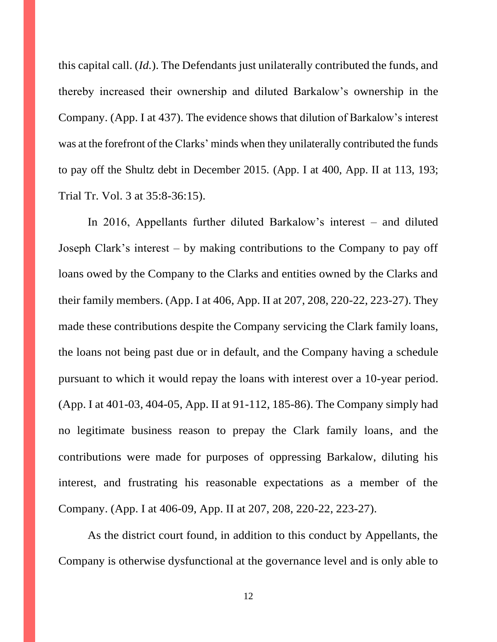this capital call. (*Id.*). The Defendants just unilaterally contributed the funds, and thereby increased their ownership and diluted Barkalow's ownership in the Company. (App. I at 437). The evidence shows that dilution of Barkalow's interest was at the forefront of the Clarks' minds when they unilaterally contributed the funds to pay off the Shultz debt in December 2015. (App. I at 400, App. II at 113, 193; Trial Tr. Vol. 3 at 35:8-36:15).

In 2016, Appellants further diluted Barkalow's interest – and diluted Joseph Clark's interest – by making contributions to the Company to pay off loans owed by the Company to the Clarks and entities owned by the Clarks and their family members. (App. I at 406, App. II at 207, 208, 220-22, 223-27). They made these contributions despite the Company servicing the Clark family loans, the loans not being past due or in default, and the Company having a schedule pursuant to which it would repay the loans with interest over a 10-year period. (App. I at 401-03, 404-05, App. II at 91-112, 185-86). The Company simply had no legitimate business reason to prepay the Clark family loans, and the contributions were made for purposes of oppressing Barkalow, diluting his interest, and frustrating his reasonable expectations as a member of the Company. (App. I at 406-09, App. II at 207, 208, 220-22, 223-27).

As the district court found, in addition to this conduct by Appellants, the Company is otherwise dysfunctional at the governance level and is only able to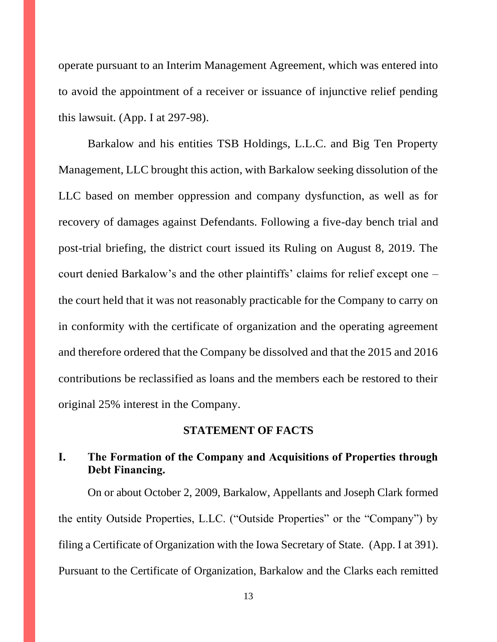operate pursuant to an Interim Management Agreement, which was entered into to avoid the appointment of a receiver or issuance of injunctive relief pending this lawsuit. (App. I at 297-98).

Barkalow and his entities TSB Holdings, L.L.C. and Big Ten Property Management, LLC brought this action, with Barkalow seeking dissolution of the LLC based on member oppression and company dysfunction, as well as for recovery of damages against Defendants. Following a five-day bench trial and post-trial briefing, the district court issued its Ruling on August 8, 2019. The court denied Barkalow's and the other plaintiffs' claims for relief except one – the court held that it was not reasonably practicable for the Company to carry on in conformity with the certificate of organization and the operating agreement and therefore ordered that the Company be dissolved and that the 2015 and 2016 contributions be reclassified as loans and the members each be restored to their original 25% interest in the Company.

#### **STATEMENT OF FACTS**

# **I. The Formation of the Company and Acquisitions of Properties through Debt Financing.**

On or about October 2, 2009, Barkalow, Appellants and Joseph Clark formed the entity Outside Properties, L.LC. ("Outside Properties" or the "Company") by filing a Certificate of Organization with the Iowa Secretary of State. (App. I at 391). Pursuant to the Certificate of Organization, Barkalow and the Clarks each remitted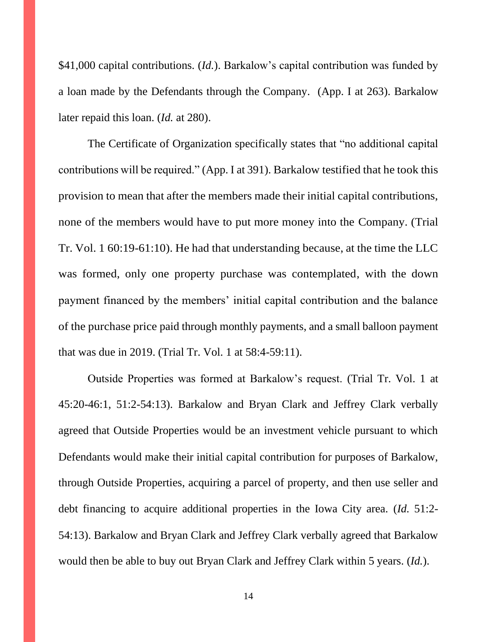\$41,000 capital contributions. (*Id.*). Barkalow's capital contribution was funded by a loan made by the Defendants through the Company. (App. I at 263). Barkalow later repaid this loan. (*Id.* at 280).

The Certificate of Organization specifically states that "no additional capital contributions will be required." (App. I at 391). Barkalow testified that he took this provision to mean that after the members made their initial capital contributions, none of the members would have to put more money into the Company. (Trial Tr. Vol. 1 60:19-61:10). He had that understanding because, at the time the LLC was formed, only one property purchase was contemplated, with the down payment financed by the members' initial capital contribution and the balance of the purchase price paid through monthly payments, and a small balloon payment that was due in 2019. (Trial Tr. Vol. 1 at 58:4-59:11).

Outside Properties was formed at Barkalow's request. (Trial Tr. Vol. 1 at 45:20-46:1, 51:2-54:13). Barkalow and Bryan Clark and Jeffrey Clark verbally agreed that Outside Properties would be an investment vehicle pursuant to which Defendants would make their initial capital contribution for purposes of Barkalow, through Outside Properties, acquiring a parcel of property, and then use seller and debt financing to acquire additional properties in the Iowa City area. (*Id.* 51:2- 54:13). Barkalow and Bryan Clark and Jeffrey Clark verbally agreed that Barkalow would then be able to buy out Bryan Clark and Jeffrey Clark within 5 years. (*Id.*).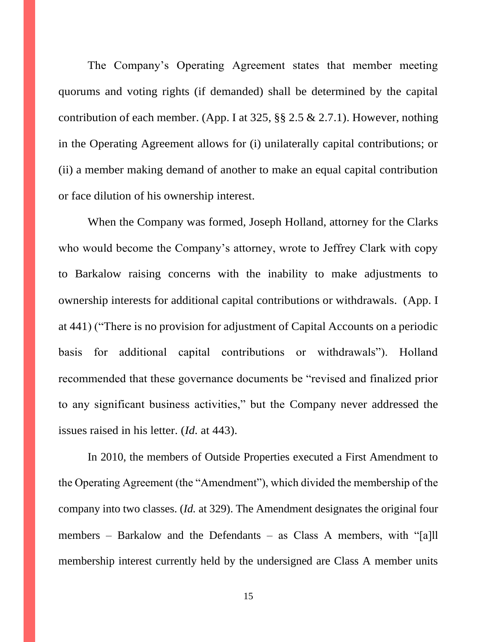The Company's Operating Agreement states that member meeting quorums and voting rights (if demanded) shall be determined by the capital contribution of each member. (App. I at  $325$ ,  $\S$  $\S$   $2.5 \& 2.7.1$ ). However, nothing in the Operating Agreement allows for (i) unilaterally capital contributions; or (ii) a member making demand of another to make an equal capital contribution or face dilution of his ownership interest.

When the Company was formed, Joseph Holland, attorney for the Clarks who would become the Company's attorney, wrote to Jeffrey Clark with copy to Barkalow raising concerns with the inability to make adjustments to ownership interests for additional capital contributions or withdrawals. (App. I at 441) ("There is no provision for adjustment of Capital Accounts on a periodic basis for additional capital contributions or withdrawals"). Holland recommended that these governance documents be "revised and finalized prior to any significant business activities," but the Company never addressed the issues raised in his letter. (*Id.* at 443).

In 2010, the members of Outside Properties executed a First Amendment to the Operating Agreement (the "Amendment"), which divided the membership of the company into two classes. (*Id.* at 329). The Amendment designates the original four members – Barkalow and the Defendants – as Class A members, with "[a]ll membership interest currently held by the undersigned are Class A member units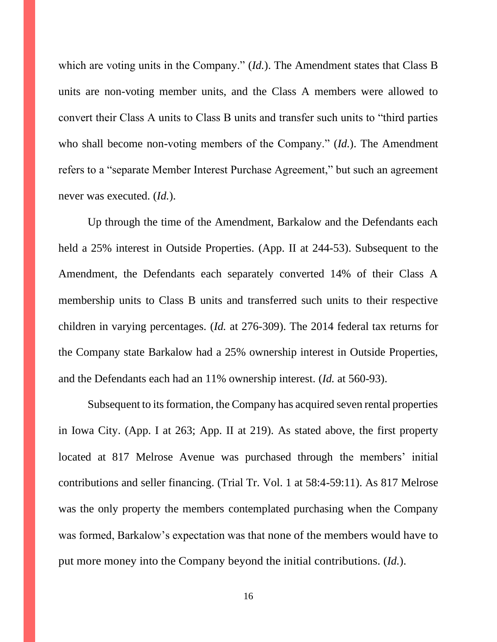which are voting units in the Company." (*Id.*). The Amendment states that Class B units are non-voting member units, and the Class A members were allowed to convert their Class A units to Class B units and transfer such units to "third parties who shall become non-voting members of the Company." (*Id.*). The Amendment refers to a "separate Member Interest Purchase Agreement," but such an agreement never was executed. (*Id.*).

Up through the time of the Amendment, Barkalow and the Defendants each held a 25% interest in Outside Properties. (App. II at 244-53). Subsequent to the Amendment, the Defendants each separately converted 14% of their Class A membership units to Class B units and transferred such units to their respective children in varying percentages. (*Id.* at 276-309). The 2014 federal tax returns for the Company state Barkalow had a 25% ownership interest in Outside Properties, and the Defendants each had an 11% ownership interest. (*Id.* at 560-93).

Subsequent to its formation, the Company has acquired seven rental properties in Iowa City. (App. I at 263; App. II at 219). As stated above, the first property located at 817 Melrose Avenue was purchased through the members' initial contributions and seller financing. (Trial Tr. Vol. 1 at 58:4-59:11). As 817 Melrose was the only property the members contemplated purchasing when the Company was formed, Barkalow's expectation was that none of the members would have to put more money into the Company beyond the initial contributions. (*Id.*).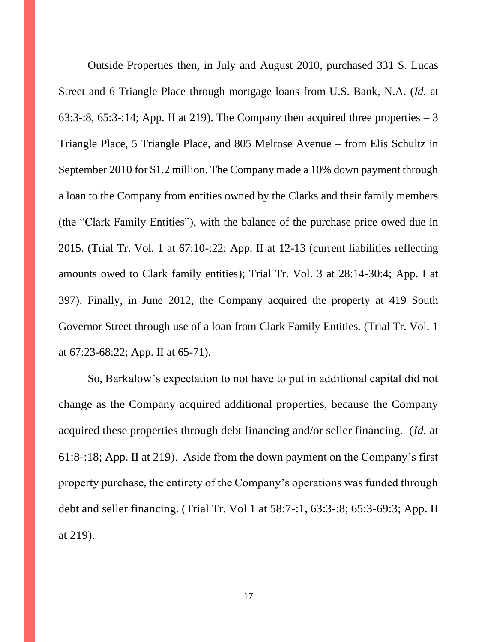Outside Properties then, in July and August 2010, purchased 331 S. Lucas Street and 6 Triangle Place through mortgage loans from U.S. Bank, N.A. (*Id.* at 63:3-:8, 65:3-:14; App. II at 219). The Company then acquired three properties  $-3$ Triangle Place, 5 Triangle Place, and 805 Melrose Avenue – from Elis Schultz in September 2010 for \$1.2 million. The Company made a 10% down payment through a loan to the Company from entities owned by the Clarks and their family members (the "Clark Family Entities"), with the balance of the purchase price owed due in 2015. (Trial Tr. Vol. 1 at 67:10-:22; App. II at 12-13 (current liabilities reflecting amounts owed to Clark family entities); Trial Tr. Vol. 3 at 28:14-30:4; App. I at 397). Finally, in June 2012, the Company acquired the property at 419 South Governor Street through use of a loan from Clark Family Entities. (Trial Tr. Vol. 1 at 67:23-68:22; App. II at 65-71).

So, Barkalow's expectation to not have to put in additional capital did not change as the Company acquired additional properties, because the Company acquired these properties through debt financing and/or seller financing. (*Id.* at 61:8-:18; App. II at 219). Aside from the down payment on the Company's first property purchase, the entirety of the Company's operations was funded through debt and seller financing. (Trial Tr. Vol 1 at 58:7-:1, 63:3-:8; 65:3-69:3; App. II at 219).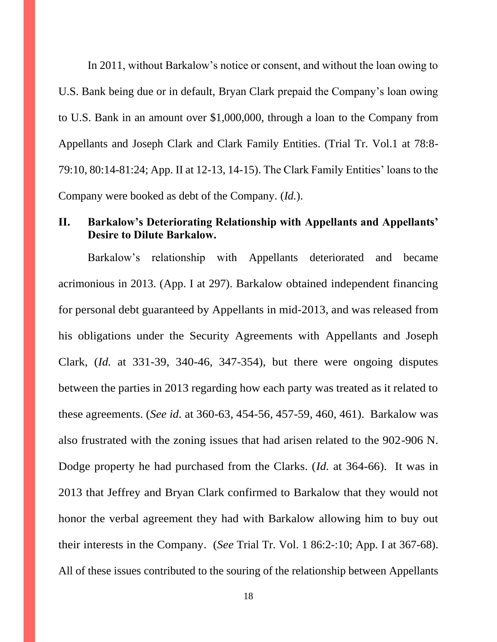In 2011, without Barkalow's notice or consent, and without the loan owing to U.S. Bank being due or in default, Bryan Clark prepaid the Company's loan owing to U.S. Bank in an amount over \$1,000,000, through a loan to the Company from Appellants and Joseph Clark and Clark Family Entities. (Trial Tr. Vol.1 at 78:8- 79:10, 80:14-81:24; App. II at 12-13, 14-15). The Clark Family Entities' loans to the Company were booked as debt of the Company. (*Id.*).

## **II. Barkalow's Deteriorating Relationship with Appellants and Appellants' Desire to Dilute Barkalow.**

Barkalow's relationship with Appellants deteriorated and became acrimonious in 2013. (App. I at 297). Barkalow obtained independent financing for personal debt guaranteed by Appellants in mid-2013, and was released from his obligations under the Security Agreements with Appellants and Joseph Clark, (*Id.* at 331-39, 340-46, 347-354), but there were ongoing disputes between the parties in 2013 regarding how each party was treated as it related to these agreements. (*See id.* at 360-63, 454-56, 457-59, 460, 461). Barkalow was also frustrated with the zoning issues that had arisen related to the 902-906 N. Dodge property he had purchased from the Clarks. (*Id.* at 364-66). It was in 2013 that Jeffrey and Bryan Clark confirmed to Barkalow that they would not honor the verbal agreement they had with Barkalow allowing him to buy out their interests in the Company. (*See* Trial Tr. Vol. 1 86:2-:10; App. I at 367-68). All of these issues contributed to the souring of the relationship between Appellants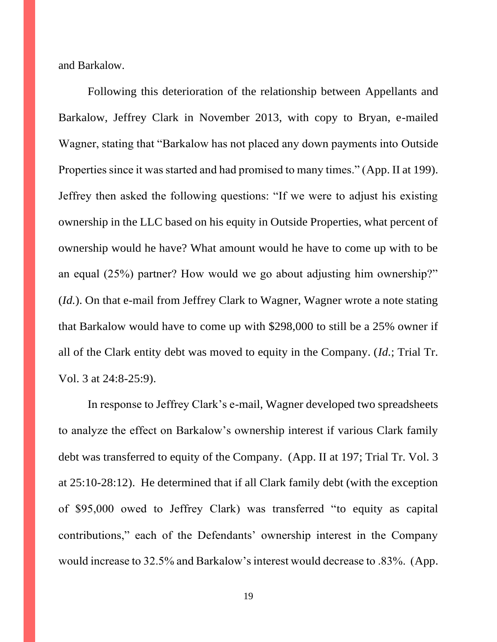and Barkalow.

Following this deterioration of the relationship between Appellants and Barkalow, Jeffrey Clark in November 2013, with copy to Bryan, e-mailed Wagner, stating that "Barkalow has not placed any down payments into Outside Properties since it was started and had promised to many times." (App. II at 199). Jeffrey then asked the following questions: "If we were to adjust his existing ownership in the LLC based on his equity in Outside Properties, what percent of ownership would he have? What amount would he have to come up with to be an equal (25%) partner? How would we go about adjusting him ownership?" (*Id.*). On that e-mail from Jeffrey Clark to Wagner, Wagner wrote a note stating that Barkalow would have to come up with \$298,000 to still be a 25% owner if all of the Clark entity debt was moved to equity in the Company. (*Id.*; Trial Tr. Vol. 3 at 24:8-25:9).

In response to Jeffrey Clark's e-mail, Wagner developed two spreadsheets to analyze the effect on Barkalow's ownership interest if various Clark family debt was transferred to equity of the Company. (App. II at 197; Trial Tr. Vol. 3 at 25:10-28:12). He determined that if all Clark family debt (with the exception of \$95,000 owed to Jeffrey Clark) was transferred "to equity as capital contributions," each of the Defendants' ownership interest in the Company would increase to 32.5% and Barkalow's interest would decrease to .83%. (App.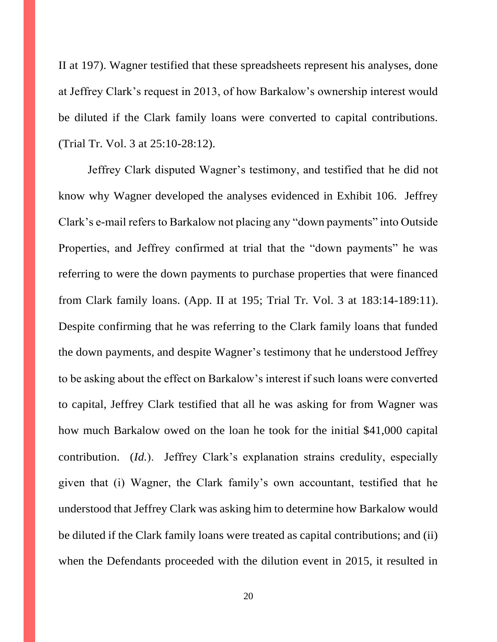II at 197). Wagner testified that these spreadsheets represent his analyses, done at Jeffrey Clark's request in 2013, of how Barkalow's ownership interest would be diluted if the Clark family loans were converted to capital contributions. (Trial Tr. Vol. 3 at 25:10-28:12).

Jeffrey Clark disputed Wagner's testimony, and testified that he did not know why Wagner developed the analyses evidenced in Exhibit 106. Jeffrey Clark's e-mail refers to Barkalow not placing any "down payments" into Outside Properties, and Jeffrey confirmed at trial that the "down payments" he was referring to were the down payments to purchase properties that were financed from Clark family loans. (App. II at 195; Trial Tr. Vol. 3 at 183:14-189:11). Despite confirming that he was referring to the Clark family loans that funded the down payments, and despite Wagner's testimony that he understood Jeffrey to be asking about the effect on Barkalow's interest if such loans were converted to capital, Jeffrey Clark testified that all he was asking for from Wagner was how much Barkalow owed on the loan he took for the initial \$41,000 capital contribution. (*Id.*). Jeffrey Clark's explanation strains credulity, especially given that (i) Wagner, the Clark family's own accountant, testified that he understood that Jeffrey Clark was asking him to determine how Barkalow would be diluted if the Clark family loans were treated as capital contributions; and (ii) when the Defendants proceeded with the dilution event in 2015, it resulted in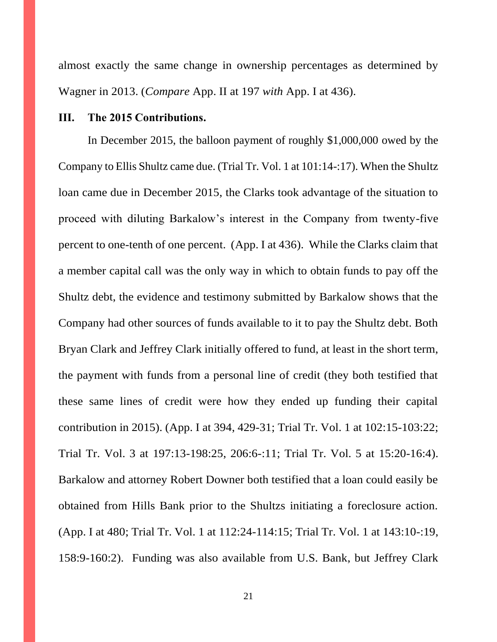almost exactly the same change in ownership percentages as determined by Wagner in 2013. (*Compare* App. II at 197 *with* App. I at 436).

### **III. The 2015 Contributions.**

In December 2015, the balloon payment of roughly \$1,000,000 owed by the Company to Ellis Shultz came due. (Trial Tr. Vol. 1 at 101:14-:17). When the Shultz loan came due in December 2015, the Clarks took advantage of the situation to proceed with diluting Barkalow's interest in the Company from twenty-five percent to one-tenth of one percent. (App. I at 436). While the Clarks claim that a member capital call was the only way in which to obtain funds to pay off the Shultz debt, the evidence and testimony submitted by Barkalow shows that the Company had other sources of funds available to it to pay the Shultz debt. Both Bryan Clark and Jeffrey Clark initially offered to fund, at least in the short term, the payment with funds from a personal line of credit (they both testified that these same lines of credit were how they ended up funding their capital contribution in 2015). (App. I at 394, 429-31; Trial Tr. Vol. 1 at 102:15-103:22; Trial Tr. Vol. 3 at 197:13-198:25, 206:6-:11; Trial Tr. Vol. 5 at 15:20-16:4). Barkalow and attorney Robert Downer both testified that a loan could easily be obtained from Hills Bank prior to the Shultzs initiating a foreclosure action. (App. I at 480; Trial Tr. Vol. 1 at 112:24-114:15; Trial Tr. Vol. 1 at 143:10-:19, 158:9-160:2). Funding was also available from U.S. Bank, but Jeffrey Clark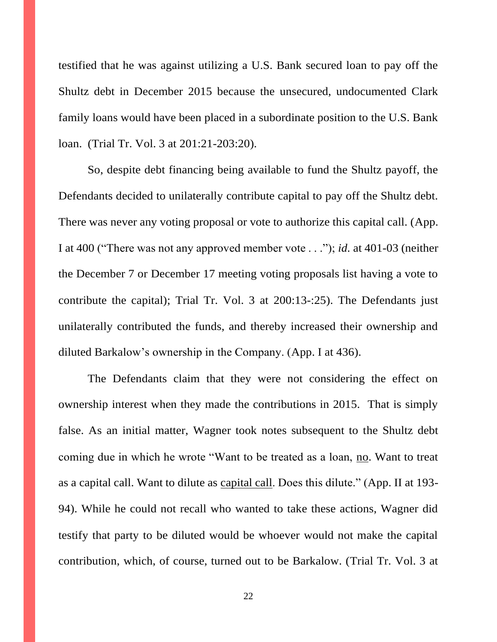testified that he was against utilizing a U.S. Bank secured loan to pay off the Shultz debt in December 2015 because the unsecured, undocumented Clark family loans would have been placed in a subordinate position to the U.S. Bank loan. (Trial Tr. Vol. 3 at 201:21-203:20).

So, despite debt financing being available to fund the Shultz payoff, the Defendants decided to unilaterally contribute capital to pay off the Shultz debt. There was never any voting proposal or vote to authorize this capital call. (App. I at 400 ("There was not any approved member vote . . ."); *id.* at 401-03 (neither the December 7 or December 17 meeting voting proposals list having a vote to contribute the capital); Trial Tr. Vol. 3 at 200:13-:25). The Defendants just unilaterally contributed the funds, and thereby increased their ownership and diluted Barkalow's ownership in the Company. (App. I at 436).

The Defendants claim that they were not considering the effect on ownership interest when they made the contributions in 2015. That is simply false. As an initial matter, Wagner took notes subsequent to the Shultz debt coming due in which he wrote "Want to be treated as a loan, no. Want to treat as a capital call. Want to dilute as capital call. Does this dilute." (App. II at 193- 94). While he could not recall who wanted to take these actions, Wagner did testify that party to be diluted would be whoever would not make the capital contribution, which, of course, turned out to be Barkalow. (Trial Tr. Vol. 3 at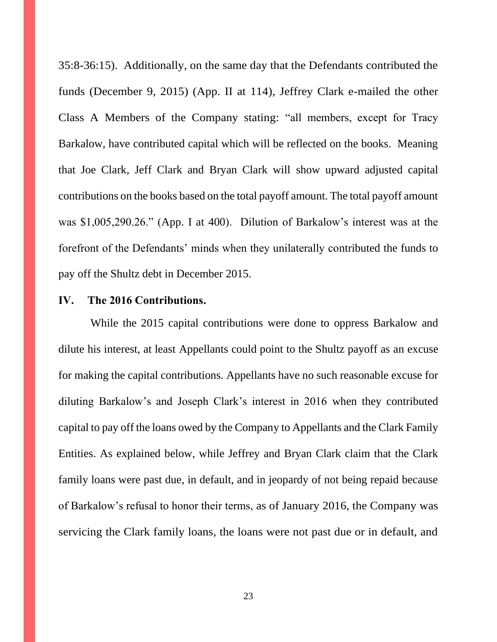35:8-36:15). Additionally, on the same day that the Defendants contributed the funds (December 9, 2015) (App. II at 114), Jeffrey Clark e-mailed the other Class A Members of the Company stating: "all members, except for Tracy Barkalow, have contributed capital which will be reflected on the books. Meaning that Joe Clark, Jeff Clark and Bryan Clark will show upward adjusted capital contributions on the books based on the total payoff amount. The total payoff amount was \$1,005,290.26." (App. I at 400). Dilution of Barkalow's interest was at the forefront of the Defendants' minds when they unilaterally contributed the funds to pay off the Shultz debt in December 2015.

#### **IV. The 2016 Contributions.**

While the 2015 capital contributions were done to oppress Barkalow and dilute his interest, at least Appellants could point to the Shultz payoff as an excuse for making the capital contributions. Appellants have no such reasonable excuse for diluting Barkalow's and Joseph Clark's interest in 2016 when they contributed capital to pay off the loans owed by the Company to Appellants and the Clark Family Entities. As explained below, while Jeffrey and Bryan Clark claim that the Clark family loans were past due, in default, and in jeopardy of not being repaid because of Barkalow's refusal to honor their terms, as of January 2016, the Company was servicing the Clark family loans, the loans were not past due or in default, and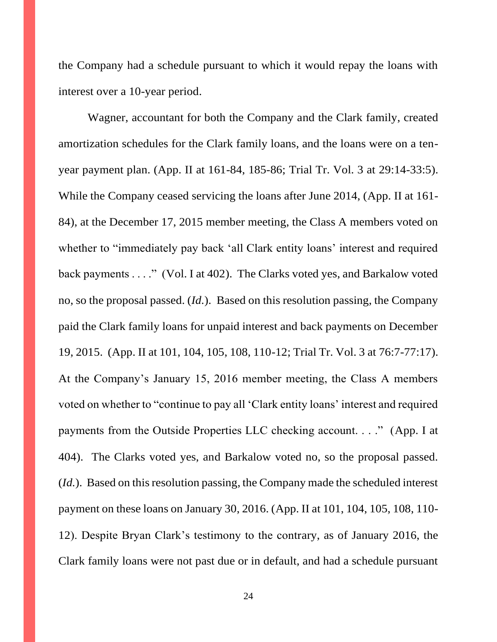the Company had a schedule pursuant to which it would repay the loans with interest over a 10-year period.

Wagner, accountant for both the Company and the Clark family, created amortization schedules for the Clark family loans, and the loans were on a tenyear payment plan. (App. II at 161-84, 185-86; Trial Tr. Vol. 3 at 29:14-33:5). While the Company ceased servicing the loans after June 2014, (App. II at 161- 84), at the December 17, 2015 member meeting, the Class A members voted on whether to "immediately pay back 'all Clark entity loans' interest and required back payments . . . ." (Vol. I at 402). The Clarks voted yes, and Barkalow voted no, so the proposal passed. (*Id.*). Based on this resolution passing, the Company paid the Clark family loans for unpaid interest and back payments on December 19, 2015. (App. II at 101, 104, 105, 108, 110-12; Trial Tr. Vol. 3 at 76:7-77:17). At the Company's January 15, 2016 member meeting, the Class A members voted on whether to "continue to pay all 'Clark entity loans' interest and required payments from the Outside Properties LLC checking account. . . ." (App. I at 404). The Clarks voted yes, and Barkalow voted no, so the proposal passed. (*Id.*). Based on this resolution passing, the Company made the scheduled interest payment on these loans on January 30, 2016. (App. II at 101, 104, 105, 108, 110- 12). Despite Bryan Clark's testimony to the contrary, as of January 2016, the Clark family loans were not past due or in default, and had a schedule pursuant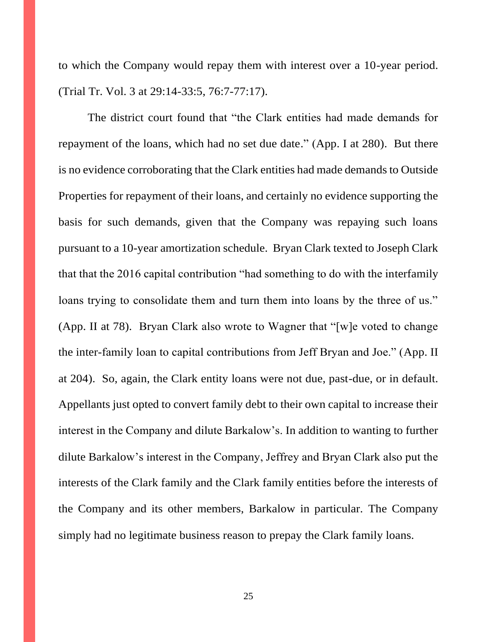to which the Company would repay them with interest over a 10-year period. (Trial Tr. Vol. 3 at 29:14-33:5, 76:7-77:17).

The district court found that "the Clark entities had made demands for repayment of the loans, which had no set due date." (App. I at 280). But there is no evidence corroborating that the Clark entities had made demands to Outside Properties for repayment of their loans, and certainly no evidence supporting the basis for such demands, given that the Company was repaying such loans pursuant to a 10-year amortization schedule. Bryan Clark texted to Joseph Clark that that the 2016 capital contribution "had something to do with the interfamily loans trying to consolidate them and turn them into loans by the three of us." (App. II at 78). Bryan Clark also wrote to Wagner that "[w]e voted to change the inter-family loan to capital contributions from Jeff Bryan and Joe." (App. II at 204). So, again, the Clark entity loans were not due, past-due, or in default. Appellants just opted to convert family debt to their own capital to increase their interest in the Company and dilute Barkalow's. In addition to wanting to further dilute Barkalow's interest in the Company, Jeffrey and Bryan Clark also put the interests of the Clark family and the Clark family entities before the interests of the Company and its other members, Barkalow in particular. The Company simply had no legitimate business reason to prepay the Clark family loans.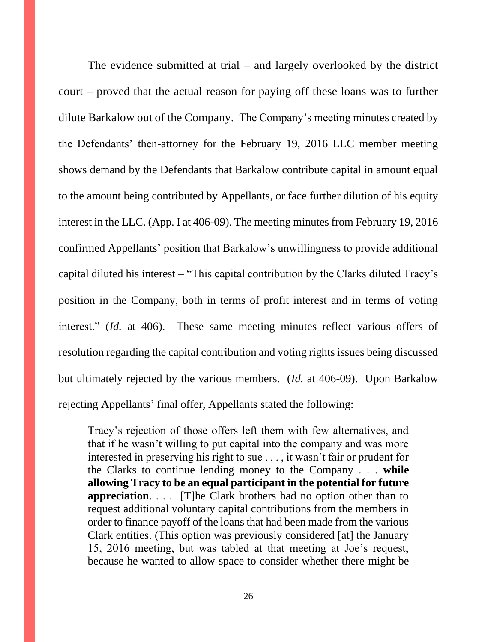The evidence submitted at trial – and largely overlooked by the district court – proved that the actual reason for paying off these loans was to further dilute Barkalow out of the Company. The Company's meeting minutes created by the Defendants' then-attorney for the February 19, 2016 LLC member meeting shows demand by the Defendants that Barkalow contribute capital in amount equal to the amount being contributed by Appellants, or face further dilution of his equity interest in the LLC. (App. I at 406-09). The meeting minutes from February 19, 2016 confirmed Appellants' position that Barkalow's unwillingness to provide additional capital diluted his interest – "This capital contribution by the Clarks diluted Tracy's position in the Company, both in terms of profit interest and in terms of voting interest." (*Id.* at 406). These same meeting minutes reflect various offers of resolution regarding the capital contribution and voting rights issues being discussed but ultimately rejected by the various members. (*Id.* at 406-09). Upon Barkalow rejecting Appellants' final offer, Appellants stated the following:

Tracy's rejection of those offers left them with few alternatives, and that if he wasn't willing to put capital into the company and was more interested in preserving his right to sue . . . , it wasn't fair or prudent for the Clarks to continue lending money to the Company . . . **while allowing Tracy to be an equal participant in the potential for future appreciation.** . . . [T]he Clark brothers had no option other than to request additional voluntary capital contributions from the members in order to finance payoff of the loans that had been made from the various Clark entities. (This option was previously considered [at] the January 15, 2016 meeting, but was tabled at that meeting at Joe's request, because he wanted to allow space to consider whether there might be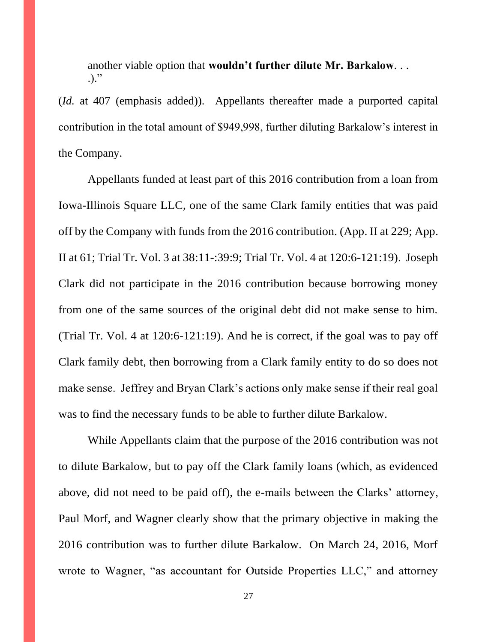another viable option that **wouldn't further dilute Mr. Barkalow**. . .  $\cdot$ ...

(*Id.* at 407 (emphasis added)). Appellants thereafter made a purported capital contribution in the total amount of \$949,998, further diluting Barkalow's interest in the Company.

Appellants funded at least part of this 2016 contribution from a loan from Iowa-Illinois Square LLC, one of the same Clark family entities that was paid off by the Company with funds from the 2016 contribution. (App. II at 229; App. II at 61; Trial Tr. Vol. 3 at 38:11-:39:9; Trial Tr. Vol. 4 at 120:6-121:19). Joseph Clark did not participate in the 2016 contribution because borrowing money from one of the same sources of the original debt did not make sense to him. (Trial Tr. Vol. 4 at 120:6-121:19). And he is correct, if the goal was to pay off Clark family debt, then borrowing from a Clark family entity to do so does not make sense. Jeffrey and Bryan Clark's actions only make sense if their real goal was to find the necessary funds to be able to further dilute Barkalow.

While Appellants claim that the purpose of the 2016 contribution was not to dilute Barkalow, but to pay off the Clark family loans (which, as evidenced above, did not need to be paid off), the e-mails between the Clarks' attorney, Paul Morf, and Wagner clearly show that the primary objective in making the 2016 contribution was to further dilute Barkalow. On March 24, 2016, Morf wrote to Wagner, "as accountant for Outside Properties LLC," and attorney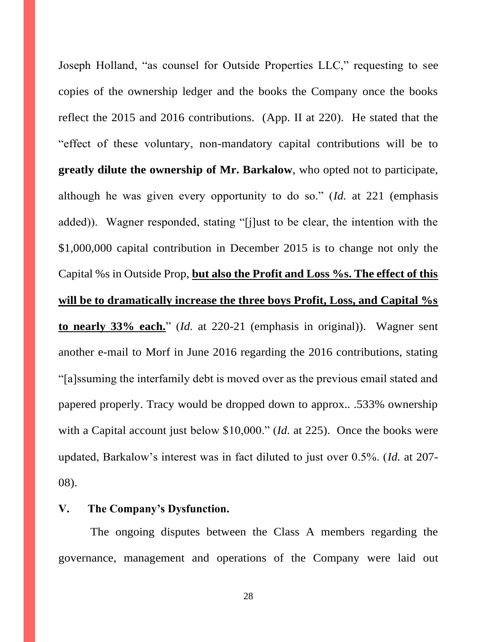Joseph Holland, "as counsel for Outside Properties LLC," requesting to see copies of the ownership ledger and the books the Company once the books reflect the 2015 and 2016 contributions. (App. II at 220). He stated that the "effect of these voluntary, non-mandatory capital contributions will be to **greatly dilute the ownership of Mr. Barkalow**, who opted not to participate, although he was given every opportunity to do so." (*Id.* at 221 (emphasis added)). Wagner responded, stating "[j]ust to be clear, the intention with the \$1,000,000 capital contribution in December 2015 is to change not only the Capital %s in Outside Prop, **but also the Profit and Loss %s. The effect of this will be to dramatically increase the three boys Profit, Loss, and Capital %s to nearly 33% each.**" (*Id.* at 220-21 (emphasis in original)). Wagner sent another e-mail to Morf in June 2016 regarding the 2016 contributions, stating "[a]ssuming the interfamily debt is moved over as the previous email stated and papered properly. Tracy would be dropped down to approx.. .533% ownership with a Capital account just below \$10,000." (*Id.* at 225). Once the books were updated, Barkalow's interest was in fact diluted to just over 0.5%. (*Id.* at 207- 08).

### **V. The Company's Dysfunction.**

The ongoing disputes between the Class A members regarding the governance, management and operations of the Company were laid out

28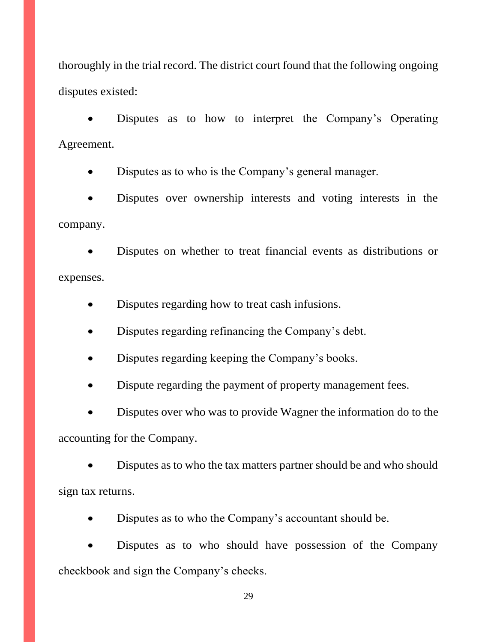thoroughly in the trial record. The district court found that the following ongoing disputes existed:

Disputes as to how to interpret the Company's Operating Agreement.

Disputes as to who is the Company's general manager.

Disputes over ownership interests and voting interests in the company.

• Disputes on whether to treat financial events as distributions or expenses.

- Disputes regarding how to treat cash infusions.
- Disputes regarding refinancing the Company's debt.
- Disputes regarding keeping the Company's books.
- Dispute regarding the payment of property management fees.

• Disputes over who was to provide Wagner the information do to the accounting for the Company.

• Disputes as to who the tax matters partner should be and who should sign tax returns.

• Disputes as to who the Company's accountant should be.

• Disputes as to who should have possession of the Company checkbook and sign the Company's checks.

29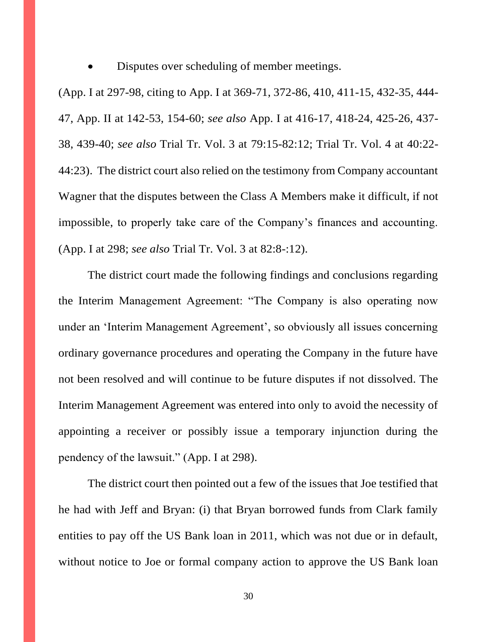Disputes over scheduling of member meetings.

(App. I at 297-98, citing to App. I at 369-71, 372-86, 410, 411-15, 432-35, 444- 47, App. II at 142-53, 154-60; *see also* App. I at 416-17, 418-24, 425-26, 437- 38, 439-40; *see also* Trial Tr. Vol. 3 at 79:15-82:12; Trial Tr. Vol. 4 at 40:22- 44:23). The district court also relied on the testimony from Company accountant Wagner that the disputes between the Class A Members make it difficult, if not impossible, to properly take care of the Company's finances and accounting. (App. I at 298; *see also* Trial Tr. Vol. 3 at 82:8-:12).

The district court made the following findings and conclusions regarding the Interim Management Agreement: "The Company is also operating now under an 'Interim Management Agreement', so obviously all issues concerning ordinary governance procedures and operating the Company in the future have not been resolved and will continue to be future disputes if not dissolved. The Interim Management Agreement was entered into only to avoid the necessity of appointing a receiver or possibly issue a temporary injunction during the pendency of the lawsuit." (App. I at 298).

The district court then pointed out a few of the issues that Joe testified that he had with Jeff and Bryan: (i) that Bryan borrowed funds from Clark family entities to pay off the US Bank loan in 2011, which was not due or in default, without notice to Joe or formal company action to approve the US Bank loan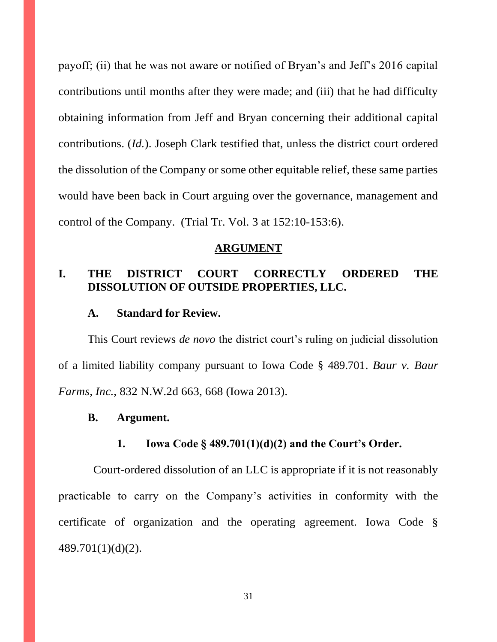payoff; (ii) that he was not aware or notified of Bryan's and Jeff's 2016 capital contributions until months after they were made; and (iii) that he had difficulty obtaining information from Jeff and Bryan concerning their additional capital contributions. (*Id.*). Joseph Clark testified that, unless the district court ordered the dissolution of the Company or some other equitable relief, these same parties would have been back in Court arguing over the governance, management and control of the Company. (Trial Tr. Vol. 3 at 152:10-153:6).

#### **ARGUMENT**

## **I. THE DISTRICT COURT CORRECTLY ORDERED THE DISSOLUTION OF OUTSIDE PROPERTIES, LLC.**

### **A. Standard for Review.**

This Court reviews *de novo* the district court's ruling on judicial dissolution of a limited liability company pursuant to Iowa Code § 489.701. *Baur v. Baur Farms, Inc.*, 832 N.W.2d 663, 668 (Iowa 2013).

#### **B. Argument.**

### **1. Iowa Code § 489.701(1)(d)(2) and the Court's Order.**

 Court-ordered dissolution of an LLC is appropriate if it is not reasonably practicable to carry on the Company's activities in conformity with the certificate of organization and the operating agreement. Iowa Code § 489.701(1)(d)(2).

31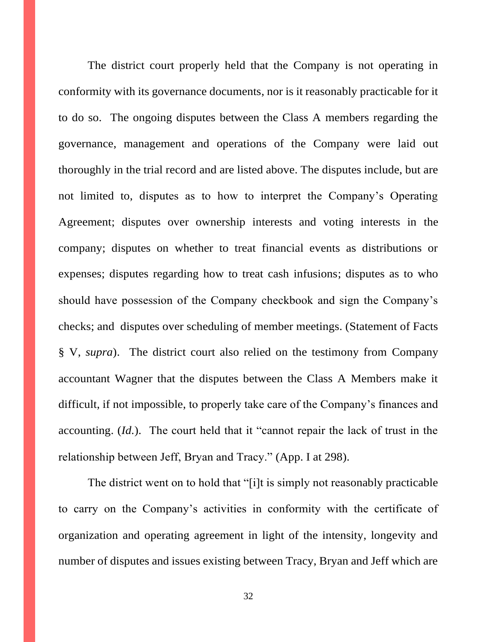The district court properly held that the Company is not operating in conformity with its governance documents, nor is it reasonably practicable for it to do so. The ongoing disputes between the Class A members regarding the governance, management and operations of the Company were laid out thoroughly in the trial record and are listed above. The disputes include, but are not limited to, disputes as to how to interpret the Company's Operating Agreement; disputes over ownership interests and voting interests in the company; disputes on whether to treat financial events as distributions or expenses; disputes regarding how to treat cash infusions; disputes as to who should have possession of the Company checkbook and sign the Company's checks; and disputes over scheduling of member meetings. (Statement of Facts § V, *supra*). The district court also relied on the testimony from Company accountant Wagner that the disputes between the Class A Members make it difficult, if not impossible, to properly take care of the Company's finances and accounting. (*Id.*). The court held that it "cannot repair the lack of trust in the relationship between Jeff, Bryan and Tracy." (App. I at 298).

The district went on to hold that "[i]t is simply not reasonably practicable to carry on the Company's activities in conformity with the certificate of organization and operating agreement in light of the intensity, longevity and number of disputes and issues existing between Tracy, Bryan and Jeff which are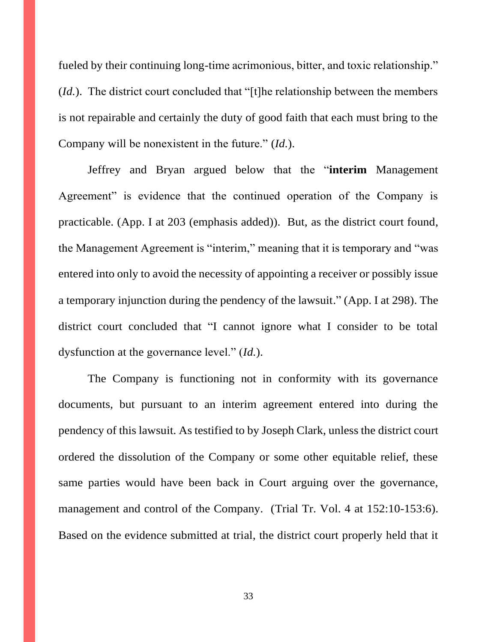fueled by their continuing long-time acrimonious, bitter, and toxic relationship." (*Id.*). The district court concluded that "[t]he relationship between the members is not repairable and certainly the duty of good faith that each must bring to the Company will be nonexistent in the future." (*Id.*).

Jeffrey and Bryan argued below that the "**interim** Management Agreement" is evidence that the continued operation of the Company is practicable. (App. I at 203 (emphasis added)). But, as the district court found, the Management Agreement is "interim," meaning that it is temporary and "was entered into only to avoid the necessity of appointing a receiver or possibly issue a temporary injunction during the pendency of the lawsuit." (App. I at 298). The district court concluded that "I cannot ignore what I consider to be total dysfunction at the governance level." (*Id.*).

The Company is functioning not in conformity with its governance documents, but pursuant to an interim agreement entered into during the pendency of this lawsuit. As testified to by Joseph Clark, unless the district court ordered the dissolution of the Company or some other equitable relief, these same parties would have been back in Court arguing over the governance, management and control of the Company. (Trial Tr. Vol. 4 at 152:10-153:6). Based on the evidence submitted at trial, the district court properly held that it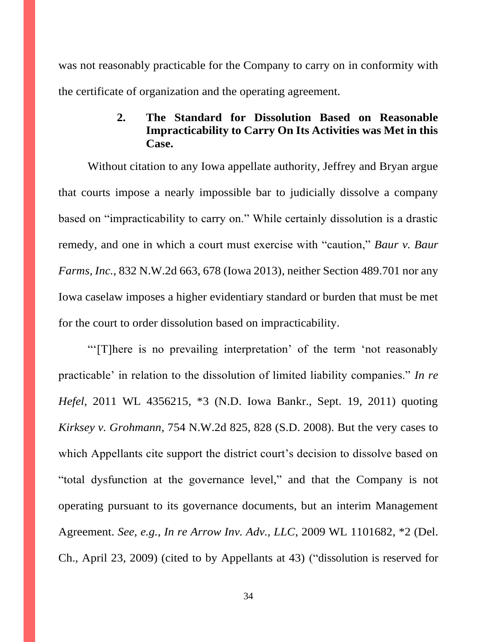was not reasonably practicable for the Company to carry on in conformity with the certificate of organization and the operating agreement.

## **2. The Standard for Dissolution Based on Reasonable Impracticability to Carry On Its Activities was Met in this Case.**

Without citation to any Iowa appellate authority, Jeffrey and Bryan argue that courts impose a nearly impossible bar to judicially dissolve a company based on "impracticability to carry on." While certainly dissolution is a drastic remedy, and one in which a court must exercise with "caution," *Baur v. Baur Farms, Inc.*, 832 N.W.2d 663, 678 (Iowa 2013), neither Section 489.701 nor any Iowa caselaw imposes a higher evidentiary standard or burden that must be met for the court to order dissolution based on impracticability.

"'[T]here is no prevailing interpretation' of the term 'not reasonably practicable' in relation to the dissolution of limited liability companies." *In re Hefel*, 2011 WL 4356215, \*3 (N.D. Iowa Bankr., Sept. 19, 2011) quoting *Kirksey v. Grohmann*, 754 N.W.2d 825, 828 (S.D. 2008). But the very cases to which Appellants cite support the district court's decision to dissolve based on "total dysfunction at the governance level," and that the Company is not operating pursuant to its governance documents, but an interim Management Agreement. *See, e.g.*, *In re Arrow Inv. Adv., LLC*, 2009 WL 1101682, \*2 (Del. Ch., April 23, 2009) (cited to by Appellants at 43) ("dissolution is reserved for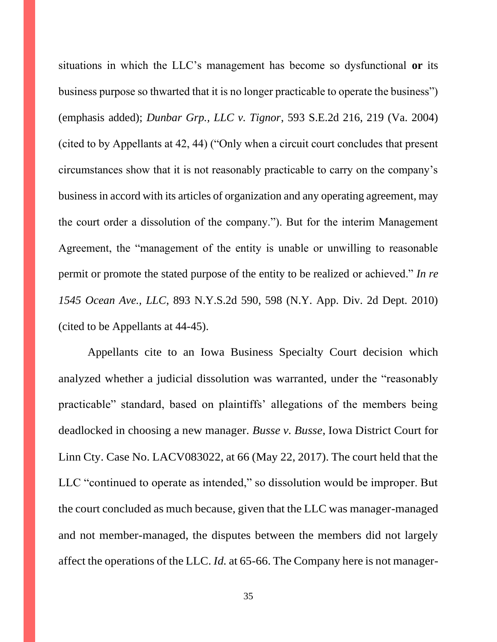situations in which the LLC's management has become so dysfunctional **or** its business purpose so thwarted that it is no longer practicable to operate the business") (emphasis added); *Dunbar Grp., LLC v. Tignor*, 593 S.E.2d 216, 219 (Va. 2004) (cited to by Appellants at 42, 44) ("Only when a circuit court concludes that present circumstances show that it is not reasonably practicable to carry on the company's business in accord with its articles of organization and any operating agreement, may the court order a dissolution of the company."). But for the interim Management Agreement, the "management of the entity is unable or unwilling to reasonable permit or promote the stated purpose of the entity to be realized or achieved." *In re 1545 Ocean Ave., LLC*, 893 N.Y.S.2d 590, 598 (N.Y. App. Div. 2d Dept. 2010) (cited to be Appellants at 44-45).

Appellants cite to an Iowa Business Specialty Court decision which analyzed whether a judicial dissolution was warranted, under the "reasonably practicable" standard, based on plaintiffs' allegations of the members being deadlocked in choosing a new manager. *Busse v. Busse*, Iowa District Court for Linn Cty. Case No. LACV083022, at 66 (May 22, 2017). The court held that the LLC "continued to operate as intended," so dissolution would be improper. But the court concluded as much because, given that the LLC was manager-managed and not member-managed, the disputes between the members did not largely affect the operations of the LLC. *Id.* at 65-66. The Company here is not manager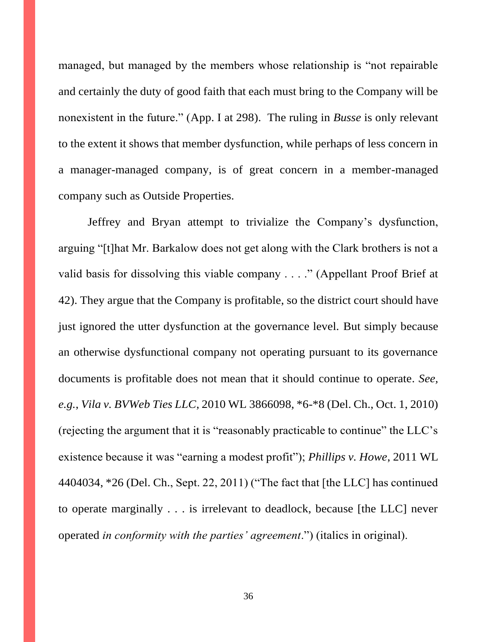managed, but managed by the members whose relationship is "not repairable and certainly the duty of good faith that each must bring to the Company will be nonexistent in the future." (App. I at 298). The ruling in *Busse* is only relevant to the extent it shows that member dysfunction, while perhaps of less concern in a manager-managed company, is of great concern in a member-managed company such as Outside Properties.

Jeffrey and Bryan attempt to trivialize the Company's dysfunction, arguing "[t]hat Mr. Barkalow does not get along with the Clark brothers is not a valid basis for dissolving this viable company . . . ." (Appellant Proof Brief at 42). They argue that the Company is profitable, so the district court should have just ignored the utter dysfunction at the governance level. But simply because an otherwise dysfunctional company not operating pursuant to its governance documents is profitable does not mean that it should continue to operate. *See, e.g.*, *Vila v. BVWeb Ties LLC*, 2010 WL 3866098, \*6-\*8 (Del. Ch., Oct. 1, 2010) (rejecting the argument that it is "reasonably practicable to continue" the LLC's existence because it was "earning a modest profit"); *Phillips v. Howe*, 2011 WL 4404034, \*26 (Del. Ch., Sept. 22, 2011) ("The fact that [the LLC] has continued to operate marginally . . . is irrelevant to deadlock, because [the LLC] never operated *in conformity with the parties' agreement*.") (italics in original).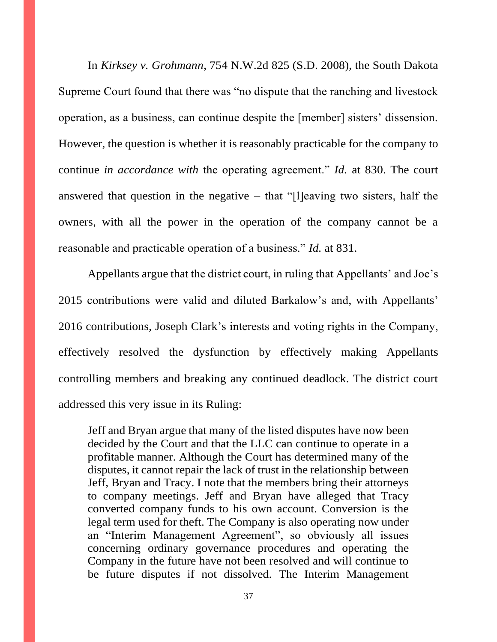In *Kirksey v. Grohmann*, 754 N.W.2d 825 (S.D. 2008), the South Dakota Supreme Court found that there was "no dispute that the ranching and livestock operation, as a business, can continue despite the [member] sisters' dissension. However, the question is whether it is reasonably practicable for the company to continue *in accordance with* the operating agreement." *Id.* at 830. The court answered that question in the negative  $-$  that "[l]eaving two sisters, half the owners, with all the power in the operation of the company cannot be a reasonable and practicable operation of a business." *Id.* at 831.

Appellants argue that the district court, in ruling that Appellants' and Joe's 2015 contributions were valid and diluted Barkalow's and, with Appellants' 2016 contributions, Joseph Clark's interests and voting rights in the Company, effectively resolved the dysfunction by effectively making Appellants controlling members and breaking any continued deadlock. The district court addressed this very issue in its Ruling:

Jeff and Bryan argue that many of the listed disputes have now been decided by the Court and that the LLC can continue to operate in a profitable manner. Although the Court has determined many of the disputes, it cannot repair the lack of trust in the relationship between Jeff, Bryan and Tracy. I note that the members bring their attorneys to company meetings. Jeff and Bryan have alleged that Tracy converted company funds to his own account. Conversion is the legal term used for theft. The Company is also operating now under an "Interim Management Agreement", so obviously all issues concerning ordinary governance procedures and operating the Company in the future have not been resolved and will continue to be future disputes if not dissolved. The Interim Management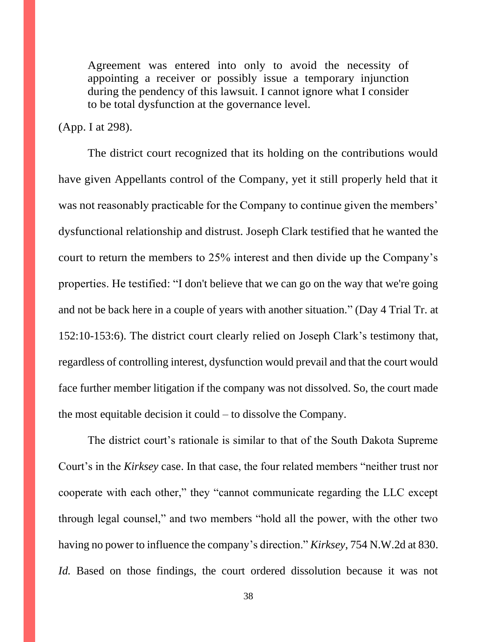Agreement was entered into only to avoid the necessity of appointing a receiver or possibly issue a temporary injunction during the pendency of this lawsuit. I cannot ignore what I consider to be total dysfunction at the governance level.

(App. I at 298).

The district court recognized that its holding on the contributions would have given Appellants control of the Company, yet it still properly held that it was not reasonably practicable for the Company to continue given the members' dysfunctional relationship and distrust. Joseph Clark testified that he wanted the court to return the members to 25% interest and then divide up the Company's properties. He testified: "I don't believe that we can go on the way that we're going and not be back here in a couple of years with another situation." (Day 4 Trial Tr. at 152:10-153:6). The district court clearly relied on Joseph Clark's testimony that, regardless of controlling interest, dysfunction would prevail and that the court would face further member litigation if the company was not dissolved. So, the court made the most equitable decision it could – to dissolve the Company.

The district court's rationale is similar to that of the South Dakota Supreme Court's in the *Kirksey* case. In that case, the four related members "neither trust nor cooperate with each other," they "cannot communicate regarding the LLC except through legal counsel," and two members "hold all the power, with the other two having no power to influence the company's direction." *Kirksey*, 754 N.W.2d at 830. *Id.* Based on those findings, the court ordered dissolution because it was not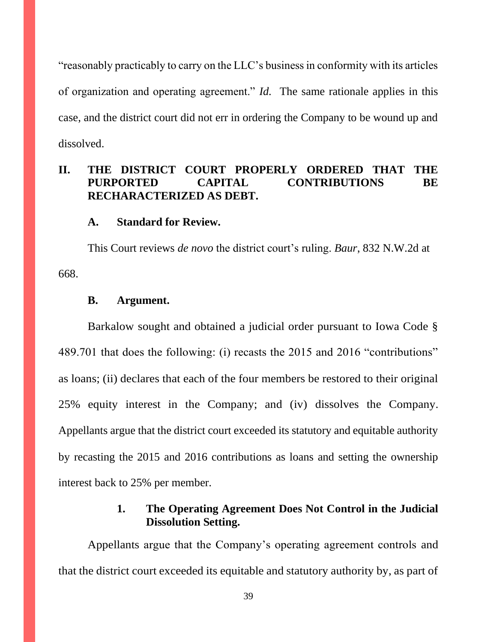"reasonably practicably to carry on the LLC's business in conformity with its articles of organization and operating agreement." *Id.* The same rationale applies in this case, and the district court did not err in ordering the Company to be wound up and dissolved.

# **II. THE DISTRICT COURT PROPERLY ORDERED THAT THE PURPORTED CAPITAL CONTRIBUTIONS BE RECHARACTERIZED AS DEBT.**

#### **A. Standard for Review.**

This Court reviews *de novo* the district court's ruling. *Baur*, 832 N.W.2d at 668.

#### **B. Argument.**

Barkalow sought and obtained a judicial order pursuant to Iowa Code § 489.701 that does the following: (i) recasts the 2015 and 2016 "contributions" as loans; (ii) declares that each of the four members be restored to their original 25% equity interest in the Company; and (iv) dissolves the Company. Appellants argue that the district court exceeded its statutory and equitable authority by recasting the 2015 and 2016 contributions as loans and setting the ownership interest back to 25% per member.

### **1. The Operating Agreement Does Not Control in the Judicial Dissolution Setting.**

Appellants argue that the Company's operating agreement controls and that the district court exceeded its equitable and statutory authority by, as part of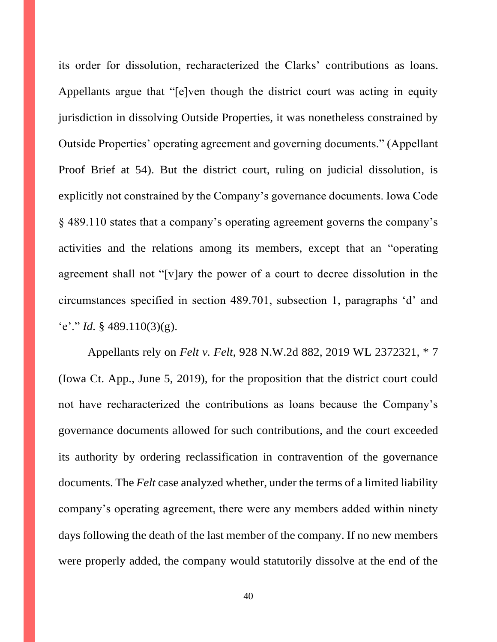its order for dissolution, recharacterized the Clarks' contributions as loans. Appellants argue that "[e]ven though the district court was acting in equity jurisdiction in dissolving Outside Properties, it was nonetheless constrained by Outside Properties' operating agreement and governing documents." (Appellant Proof Brief at 54). But the district court, ruling on judicial dissolution, is explicitly not constrained by the Company's governance documents. Iowa Code § 489.110 states that a company's operating agreement governs the company's activities and the relations among its members, except that an "operating agreement shall not "[v]ary the power of a court to decree dissolution in the circumstances specified in section 489.701, subsection 1, paragraphs 'd' and 'e'." *Id.*  $\frac{6}{3}$  489.110(3)(g).

Appellants rely on *Felt v. Felt*, 928 N.W.2d 882, 2019 WL 2372321, \* 7 (Iowa Ct. App., June 5, 2019), for the proposition that the district court could not have recharacterized the contributions as loans because the Company's governance documents allowed for such contributions, and the court exceeded its authority by ordering reclassification in contravention of the governance documents. The *Felt* case analyzed whether, under the terms of a limited liability company's operating agreement, there were any members added within ninety days following the death of the last member of the company. If no new members were properly added, the company would statutorily dissolve at the end of the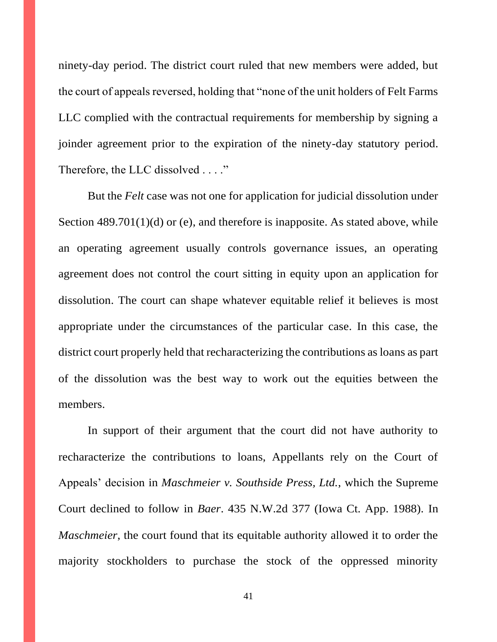ninety-day period. The district court ruled that new members were added, but the court of appeals reversed, holding that "none of the unit holders of Felt Farms LLC complied with the contractual requirements for membership by signing a joinder agreement prior to the expiration of the ninety-day statutory period. Therefore, the LLC dissolved . . . ."

But the *Felt* case was not one for application for judicial dissolution under Section 489.701(1)(d) or (e), and therefore is inapposite. As stated above, while an operating agreement usually controls governance issues, an operating agreement does not control the court sitting in equity upon an application for dissolution. The court can shape whatever equitable relief it believes is most appropriate under the circumstances of the particular case. In this case, the district court properly held that recharacterizing the contributions as loans as part of the dissolution was the best way to work out the equities between the members.

In support of their argument that the court did not have authority to recharacterize the contributions to loans, Appellants rely on the Court of Appeals' decision in *Maschmeier v. Southside Press, Ltd.*, which the Supreme Court declined to follow in *Baer*. 435 N.W.2d 377 (Iowa Ct. App. 1988). In *Maschmeier*, the court found that its equitable authority allowed it to order the majority stockholders to purchase the stock of the oppressed minority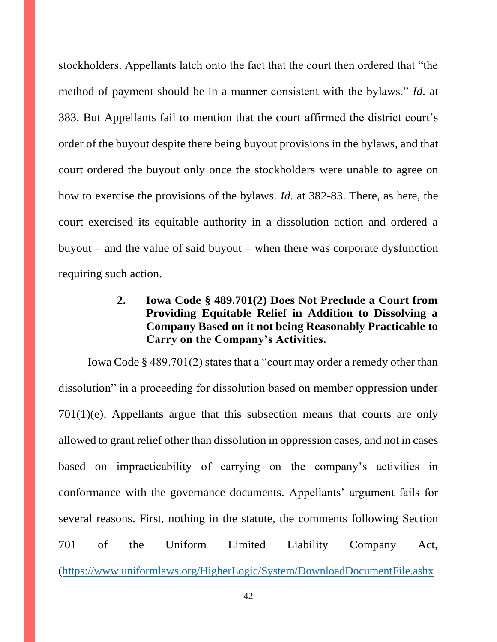stockholders. Appellants latch onto the fact that the court then ordered that "the method of payment should be in a manner consistent with the bylaws." *Id.* at 383. But Appellants fail to mention that the court affirmed the district court's order of the buyout despite there being buyout provisions in the bylaws, and that court ordered the buyout only once the stockholders were unable to agree on how to exercise the provisions of the bylaws. *Id.* at 382-83. There, as here, the court exercised its equitable authority in a dissolution action and ordered a buyout – and the value of said buyout – when there was corporate dysfunction requiring such action.

# **2. Iowa Code § 489.701(2) Does Not Preclude a Court from Providing Equitable Relief in Addition to Dissolving a Company Based on it not being Reasonably Practicable to Carry on the Company's Activities.**

Iowa Code § 489.701(2) states that a "court may order a remedy other than dissolution" in a proceeding for dissolution based on member oppression under 701(1)(e). Appellants argue that this subsection means that courts are only allowed to grant relief other than dissolution in oppression cases, and not in cases based on impracticability of carrying on the company's activities in conformance with the governance documents. Appellants' argument fails for several reasons. First, nothing in the statute, the comments following Section 701 of the Uniform Limited Liability Company Act, [\(https://www.uniformlaws.org/HigherLogic/System/DownloadDocumentFile.ashx](https://www.uniformlaws.org/HigherLogic/System/DownloadDocumentFile.ashx?DocumentFileKey=e4ceb7e3-92e4-7d79-c8f9-912e670bef23&forceDialog=0)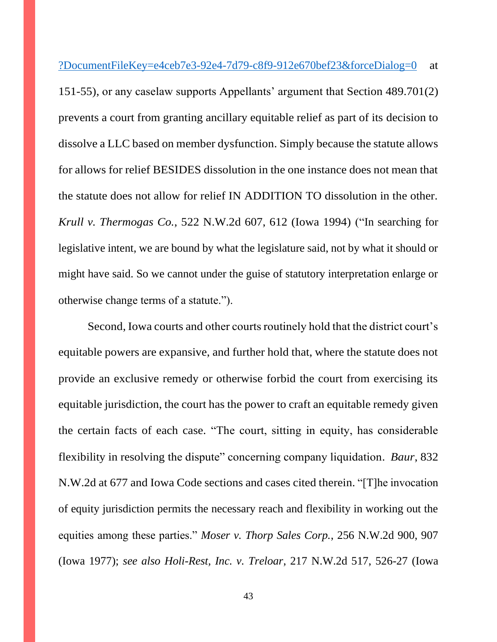[?DocumentFileKey=e4ceb7e3-92e4-7d79-c8f9-912e670bef23&forceDialog=0](https://www.uniformlaws.org/HigherLogic/System/DownloadDocumentFile.ashx?DocumentFileKey=e4ceb7e3-92e4-7d79-c8f9-912e670bef23&forceDialog=0) at

151-55), or any caselaw supports Appellants' argument that Section 489.701(2) prevents a court from granting ancillary equitable relief as part of its decision to dissolve a LLC based on member dysfunction. Simply because the statute allows for allows for relief BESIDES dissolution in the one instance does not mean that the statute does not allow for relief IN ADDITION TO dissolution in the other. *Krull v. Thermogas Co.*, 522 N.W.2d 607, 612 (Iowa 1994) ("In searching for legislative intent, we are bound by what the legislature said, not by what it should or might have said. So we cannot under the guise of statutory interpretation enlarge or otherwise change terms of a statute.").

Second, Iowa courts and other courts routinely hold that the district court's equitable powers are expansive, and further hold that, where the statute does not provide an exclusive remedy or otherwise forbid the court from exercising its equitable jurisdiction, the court has the power to craft an equitable remedy given the certain facts of each case. "The court, sitting in equity, has considerable flexibility in resolving the dispute" concerning company liquidation. *Baur*, 832 N.W.2d at 677 and Iowa Code sections and cases cited therein. "[T]he invocation of equity jurisdiction permits the necessary reach and flexibility in working out the equities among these parties." *Moser v. Thorp Sales Corp.*, 256 N.W.2d 900, 907 (Iowa 1977); *see also Holi-Rest, Inc. v. Treloar*, 217 N.W.2d 517, 526-27 (Iowa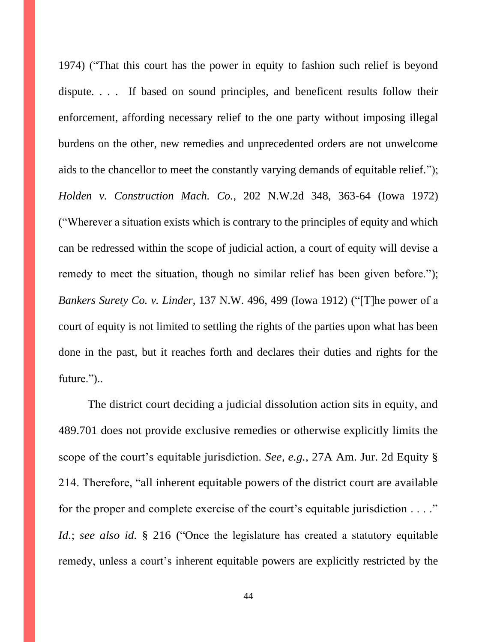1974) ("That this court has the power in equity to fashion such relief is beyond dispute. . . . If based on sound principles, and beneficent results follow their enforcement, affording necessary relief to the one party without imposing illegal burdens on the other, new remedies and unprecedented orders are not unwelcome aids to the chancellor to meet the constantly varying demands of equitable relief."); *Holden v. Construction Mach. Co.*, 202 N.W.2d 348, 363-64 (Iowa 1972) ("Wherever a situation exists which is contrary to the principles of equity and which can be redressed within the scope of judicial action, a court of equity will devise a remedy to meet the situation, though no similar relief has been given before."); *Bankers Surety Co. v. Linder*, 137 N.W. 496, 499 (Iowa 1912) ("[T]he power of a court of equity is not limited to settling the rights of the parties upon what has been done in the past, but it reaches forth and declares their duties and rights for the future.")..

The district court deciding a judicial dissolution action sits in equity, and 489.701 does not provide exclusive remedies or otherwise explicitly limits the scope of the court's equitable jurisdiction. *See, e.g.*, 27A Am. Jur. 2d Equity § 214. Therefore, "all inherent equitable powers of the district court are available for the proper and complete exercise of the court's equitable jurisdiction . . . ." *Id.*; *see also id.* § 216 ("Once the legislature has created a statutory equitable remedy, unless a court's inherent equitable powers are explicitly restricted by the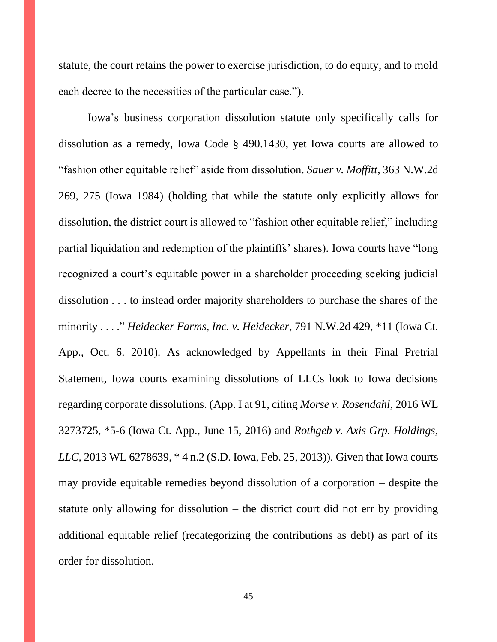statute, the court retains the power to exercise jurisdiction, to do equity, and to mold each decree to the necessities of the particular case.").

Iowa's business corporation dissolution statute only specifically calls for dissolution as a remedy, Iowa Code § 490.1430, yet Iowa courts are allowed to "fashion other equitable relief" aside from dissolution. *Sauer v. Moffitt*, 363 N.W.2d 269, 275 (Iowa 1984) (holding that while the statute only explicitly allows for dissolution, the district court is allowed to "fashion other equitable relief," including partial liquidation and redemption of the plaintiffs' shares). Iowa courts have "long recognized a court's equitable power in a shareholder proceeding seeking judicial dissolution . . . to instead order majority shareholders to purchase the shares of the minority . . . ." *Heidecker Farms, Inc. v. Heidecker*, 791 N.W.2d 429, \*11 (Iowa Ct. App., Oct. 6. 2010). As acknowledged by Appellants in their Final Pretrial Statement, Iowa courts examining dissolutions of LLCs look to Iowa decisions regarding corporate dissolutions. (App. I at 91, citing *Morse v. Rosendahl*, 2016 WL 3273725, \*5-6 (Iowa Ct. App., June 15, 2016) and *Rothgeb v. Axis Grp. Holdings, LLC*, 2013 WL 6278639, \* 4 n.2 (S.D. Iowa, Feb. 25, 2013)). Given that Iowa courts may provide equitable remedies beyond dissolution of a corporation – despite the statute only allowing for dissolution – the district court did not err by providing additional equitable relief (recategorizing the contributions as debt) as part of its order for dissolution.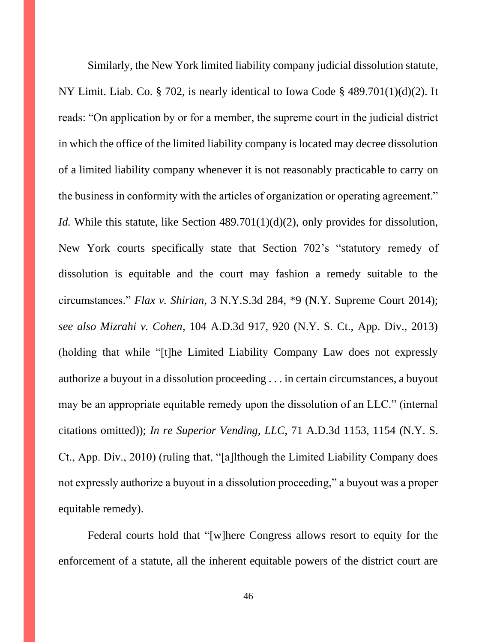Similarly, the New York limited liability company judicial dissolution statute, NY Limit. Liab. Co. § 702, is nearly identical to Iowa Code § 489.701(1)(d)(2). It reads: "On application by or for a member, the supreme court in the judicial district in which the office of the limited liability company is located may decree dissolution of a limited liability company whenever it is not reasonably practicable to carry on the business in conformity with the articles of organization or operating agreement." *Id.* While this statute, like Section 489.701(1)(d)(2), only provides for dissolution, New York courts specifically state that Section 702's "statutory remedy of dissolution is equitable and the court may fashion a remedy suitable to the circumstances." *Flax v. Shirian*, 3 N.Y.S.3d 284, \*9 (N.Y. Supreme Court 2014); *see also Mizrahi v. Cohen*, 104 A.D.3d 917, 920 (N.Y. S. Ct., App. Div., 2013) (holding that while "[t]he Limited Liability Company Law does not expressly authorize a buyout in a dissolution proceeding . . . in certain circumstances, a buyout may be an appropriate equitable remedy upon the dissolution of an LLC." (internal citations omitted)); *In re Superior Vending, LLC*, 71 A.D.3d 1153, 1154 (N.Y. S. Ct., App. Div., 2010) (ruling that, "[a]lthough the Limited Liability Company does not expressly authorize a buyout in a dissolution proceeding," a buyout was a proper equitable remedy).

Federal courts hold that "[w]here Congress allows resort to equity for the enforcement of a statute, all the inherent equitable powers of the district court are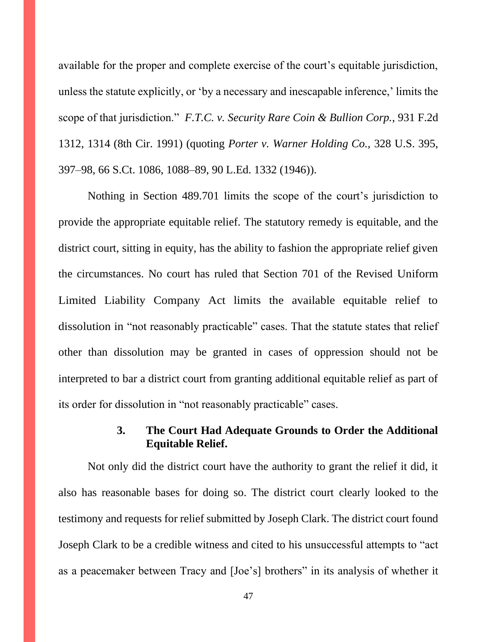available for the proper and complete exercise of the court's equitable jurisdiction, unless the statute explicitly, or 'by a necessary and inescapable inference,' limits the scope of that jurisdiction." *F.T.C. v. Security Rare Coin & Bullion Corp.*, 931 F.2d 1312, 1314 (8th Cir. 1991) (quoting *[Porter v. Warner Holding Co.,](http://www.westlaw.com/Link/Document/FullText?findType=Y&serNum=1946114816&pubNum=708&originatingDoc=I90df8d0c969a11d9bc61beebb95be672&refType=RP&fi=co_pp_sp_708_1088&originationContext=document&vr=3.0&rs=cblt1.0&transitionType=DocumentItem&contextData=(sc.DocLink)#co_pp_sp_708_1088)* 328 U.S. 395, [397–98, 66 S.Ct. 1086, 1088–89, 90 L.Ed. 1332 \(1946\)\)](http://www.westlaw.com/Link/Document/FullText?findType=Y&serNum=1946114816&pubNum=708&originatingDoc=I90df8d0c969a11d9bc61beebb95be672&refType=RP&fi=co_pp_sp_708_1088&originationContext=document&vr=3.0&rs=cblt1.0&transitionType=DocumentItem&contextData=(sc.DocLink)#co_pp_sp_708_1088).

Nothing in Section 489.701 limits the scope of the court's jurisdiction to provide the appropriate equitable relief. The statutory remedy is equitable, and the district court, sitting in equity, has the ability to fashion the appropriate relief given the circumstances. No court has ruled that Section 701 of the Revised Uniform Limited Liability Company Act limits the available equitable relief to dissolution in "not reasonably practicable" cases. That the statute states that relief other than dissolution may be granted in cases of oppression should not be interpreted to bar a district court from granting additional equitable relief as part of its order for dissolution in "not reasonably practicable" cases.

### **3. The Court Had Adequate Grounds to Order the Additional Equitable Relief.**

Not only did the district court have the authority to grant the relief it did, it also has reasonable bases for doing so. The district court clearly looked to the testimony and requests for relief submitted by Joseph Clark. The district court found Joseph Clark to be a credible witness and cited to his unsuccessful attempts to "act as a peacemaker between Tracy and [Joe's] brothers" in its analysis of whether it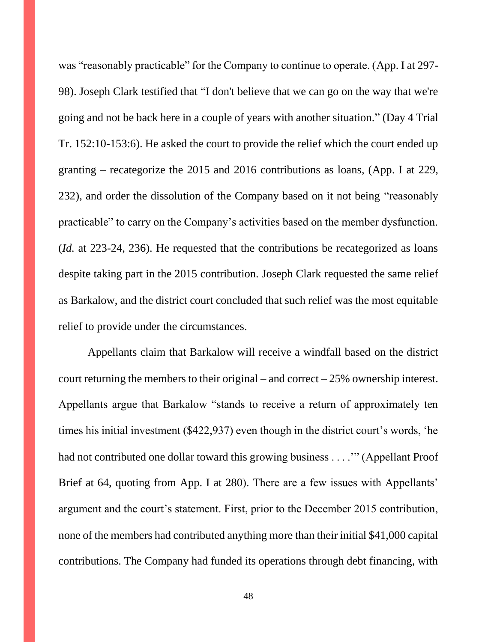was "reasonably practicable" for the Company to continue to operate. (App. I at 297- 98). Joseph Clark testified that "I don't believe that we can go on the way that we're going and not be back here in a couple of years with another situation." (Day 4 Trial Tr. 152:10-153:6). He asked the court to provide the relief which the court ended up granting – recategorize the 2015 and 2016 contributions as loans, (App. I at 229, 232), and order the dissolution of the Company based on it not being "reasonably practicable" to carry on the Company's activities based on the member dysfunction. (*Id.* at 223-24, 236). He requested that the contributions be recategorized as loans despite taking part in the 2015 contribution. Joseph Clark requested the same relief as Barkalow, and the district court concluded that such relief was the most equitable relief to provide under the circumstances.

Appellants claim that Barkalow will receive a windfall based on the district court returning the members to their original – and correct  $-25%$  ownership interest. Appellants argue that Barkalow "stands to receive a return of approximately ten times his initial investment (\$422,937) even though in the district court's words, 'he had not contributed one dollar toward this growing business . . . .'" (Appellant Proof Brief at 64, quoting from App. I at 280). There are a few issues with Appellants' argument and the court's statement. First, prior to the December 2015 contribution, none of the members had contributed anything more than their initial \$41,000 capital contributions. The Company had funded its operations through debt financing, with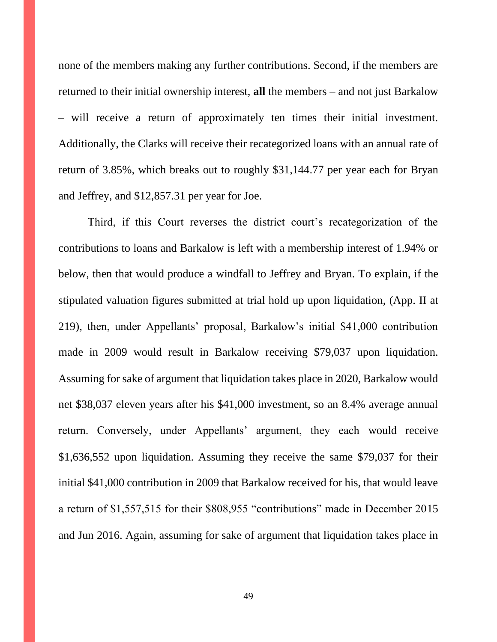none of the members making any further contributions. Second, if the members are returned to their initial ownership interest, **all** the members – and not just Barkalow – will receive a return of approximately ten times their initial investment. Additionally, the Clarks will receive their recategorized loans with an annual rate of return of 3.85%, which breaks out to roughly \$31,144.77 per year each for Bryan and Jeffrey, and \$12,857.31 per year for Joe.

Third, if this Court reverses the district court's recategorization of the contributions to loans and Barkalow is left with a membership interest of 1.94% or below, then that would produce a windfall to Jeffrey and Bryan. To explain, if the stipulated valuation figures submitted at trial hold up upon liquidation, (App. II at 219), then, under Appellants' proposal, Barkalow's initial \$41,000 contribution made in 2009 would result in Barkalow receiving \$79,037 upon liquidation. Assuming for sake of argument that liquidation takes place in 2020, Barkalow would net \$38,037 eleven years after his \$41,000 investment, so an 8.4% average annual return. Conversely, under Appellants' argument, they each would receive \$1,636,552 upon liquidation. Assuming they receive the same \$79,037 for their initial \$41,000 contribution in 2009 that Barkalow received for his, that would leave a return of \$1,557,515 for their \$808,955 "contributions" made in December 2015 and Jun 2016. Again, assuming for sake of argument that liquidation takes place in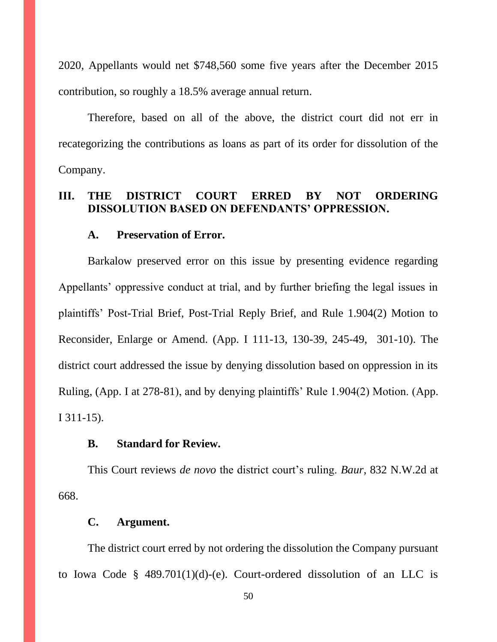2020, Appellants would net \$748,560 some five years after the December 2015 contribution, so roughly a 18.5% average annual return.

Therefore, based on all of the above, the district court did not err in recategorizing the contributions as loans as part of its order for dissolution of the Company.

## **III. THE DISTRICT COURT ERRED BY NOT ORDERING DISSOLUTION BASED ON DEFENDANTS' OPPRESSION.**

#### **A. Preservation of Error.**

Barkalow preserved error on this issue by presenting evidence regarding Appellants' oppressive conduct at trial, and by further briefing the legal issues in plaintiffs' Post-Trial Brief, Post-Trial Reply Brief, and Rule 1.904(2) Motion to Reconsider, Enlarge or Amend. (App. I 111-13, 130-39, 245-49, 301-10). The district court addressed the issue by denying dissolution based on oppression in its Ruling, (App. I at 278-81), and by denying plaintiffs' Rule 1.904(2) Motion. (App. I 311-15).

### **B. Standard for Review.**

This Court reviews *de novo* the district court's ruling. *Baur*, 832 N.W.2d at 668.

#### **C. Argument.**

The district court erred by not ordering the dissolution the Company pursuant to Iowa Code  $\S$  489.701(1)(d)-(e). Court-ordered dissolution of an LLC is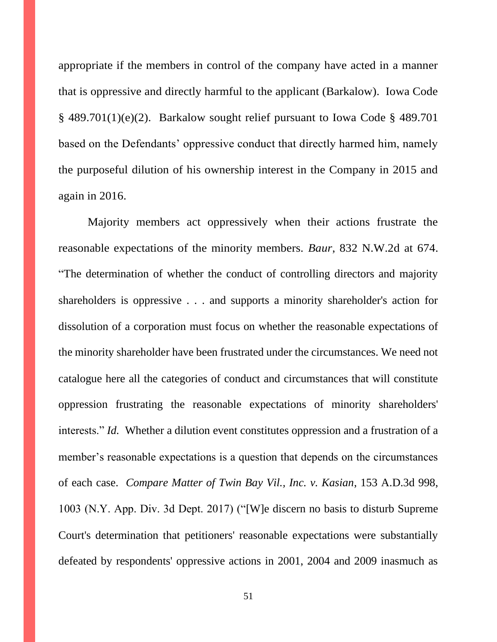appropriate if the members in control of the company have acted in a manner that is oppressive and directly harmful to the applicant (Barkalow). Iowa Code § 489.701(1)(e)(2). Barkalow sought relief pursuant to Iowa Code § 489.701 based on the Defendants' oppressive conduct that directly harmed him, namely the purposeful dilution of his ownership interest in the Company in 2015 and again in 2016.

Majority members act oppressively when their actions frustrate the reasonable expectations of the minority members. *Baur*, 832 N.W.2d at 674. "The determination of whether the conduct of controlling directors and majority shareholders is oppressive . . . and supports a minority shareholder's action for dissolution of a corporation must focus on whether the reasonable expectations of the minority shareholder have been frustrated under the circumstances. We need not catalogue here all the categories of conduct and circumstances that will constitute oppression frustrating the reasonable expectations of minority shareholders' interests." *Id.* Whether a dilution event constitutes oppression and a frustration of a member's reasonable expectations is a question that depends on the circumstances of each case. *Compare Matter of Twin Bay Vil., Inc. v. Kasian*, 153 A.D.3d 998, 1003 (N.Y. App. Div. 3d Dept. 2017) ("[W]e discern no basis to disturb Supreme Court's determination that petitioners' reasonable expectations were substantially defeated by respondents' oppressive actions in 2001, 2004 and 2009 inasmuch as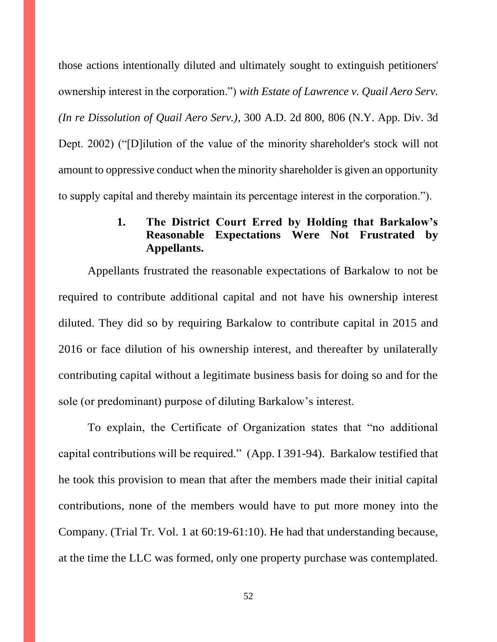those actions intentionally diluted and ultimately sought to extinguish petitioners' ownership interest in the corporation.") *with Estate of Lawrence v. Quail Aero Serv. (In re Dissolution of Quail Aero Serv.)*, 300 A.D. 2d 800, 806 (N.Y. App. Div. 3d Dept. 2002) ("[D]ilution of the value of the minority shareholder's stock will not amount to oppressive conduct when the minority shareholder is given an opportunity to supply capital and thereby maintain its percentage interest in the corporation.").

# **1. The District Court Erred by Holding that Barkalow's Reasonable Expectations Were Not Frustrated by Appellants.**

Appellants frustrated the reasonable expectations of Barkalow to not be required to contribute additional capital and not have his ownership interest diluted. They did so by requiring Barkalow to contribute capital in 2015 and 2016 or face dilution of his ownership interest, and thereafter by unilaterally contributing capital without a legitimate business basis for doing so and for the sole (or predominant) purpose of diluting Barkalow's interest.

To explain, the Certificate of Organization states that "no additional capital contributions will be required." (App. I 391-94). Barkalow testified that he took this provision to mean that after the members made their initial capital contributions, none of the members would have to put more money into the Company. (Trial Tr. Vol. 1 at 60:19-61:10). He had that understanding because, at the time the LLC was formed, only one property purchase was contemplated.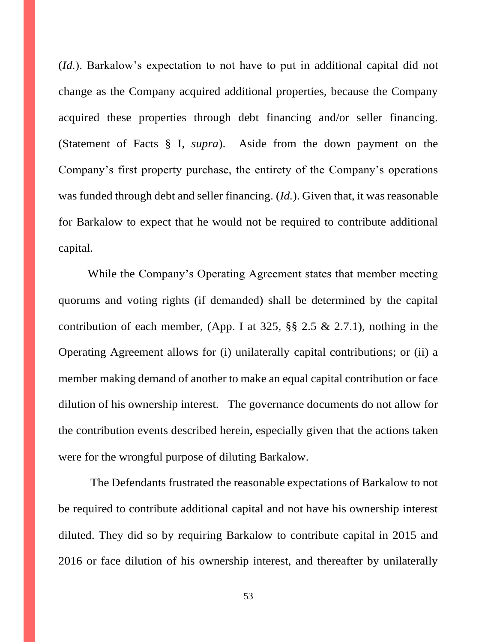(*Id.*). Barkalow's expectation to not have to put in additional capital did not change as the Company acquired additional properties, because the Company acquired these properties through debt financing and/or seller financing. (Statement of Facts § I, *supra*). Aside from the down payment on the Company's first property purchase, the entirety of the Company's operations was funded through debt and seller financing. (*Id.*). Given that, it was reasonable for Barkalow to expect that he would not be required to contribute additional capital.

While the Company's Operating Agreement states that member meeting quorums and voting rights (if demanded) shall be determined by the capital contribution of each member, (App. I at  $325$ ,  $\S$  $\S$   $2.5 \& 2.7.1$ ), nothing in the Operating Agreement allows for (i) unilaterally capital contributions; or (ii) a member making demand of another to make an equal capital contribution or face dilution of his ownership interest. The governance documents do not allow for the contribution events described herein, especially given that the actions taken were for the wrongful purpose of diluting Barkalow.

The Defendants frustrated the reasonable expectations of Barkalow to not be required to contribute additional capital and not have his ownership interest diluted. They did so by requiring Barkalow to contribute capital in 2015 and 2016 or face dilution of his ownership interest, and thereafter by unilaterally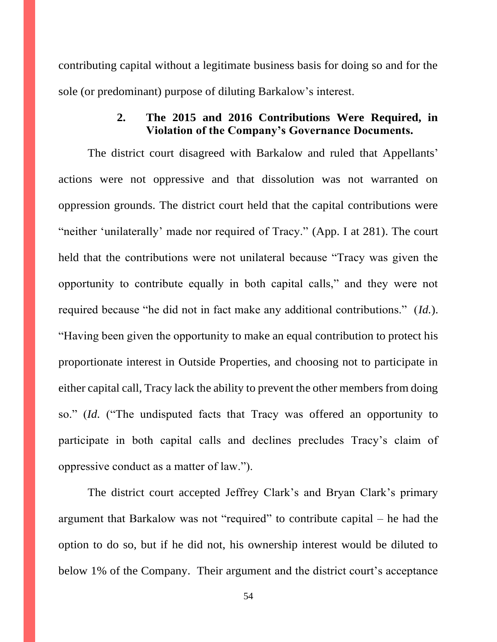contributing capital without a legitimate business basis for doing so and for the sole (or predominant) purpose of diluting Barkalow's interest.

# **2. The 2015 and 2016 Contributions Were Required, in Violation of the Company's Governance Documents.**

The district court disagreed with Barkalow and ruled that Appellants' actions were not oppressive and that dissolution was not warranted on oppression grounds. The district court held that the capital contributions were "neither 'unilaterally' made nor required of Tracy." (App. I at 281). The court held that the contributions were not unilateral because "Tracy was given the opportunity to contribute equally in both capital calls," and they were not required because "he did not in fact make any additional contributions." (*Id.*). "Having been given the opportunity to make an equal contribution to protect his proportionate interest in Outside Properties, and choosing not to participate in either capital call, Tracy lack the ability to prevent the other members from doing so." (*Id.* ("The undisputed facts that Tracy was offered an opportunity to participate in both capital calls and declines precludes Tracy's claim of oppressive conduct as a matter of law.").

The district court accepted Jeffrey Clark's and Bryan Clark's primary argument that Barkalow was not "required" to contribute capital – he had the option to do so, but if he did not, his ownership interest would be diluted to below 1% of the Company. Their argument and the district court's acceptance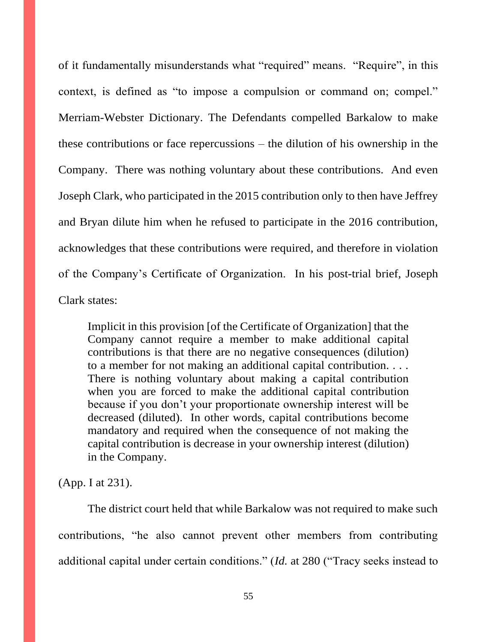of it fundamentally misunderstands what "required" means. "Require", in this context, is defined as "to impose a compulsion or command on; compel." Merriam-Webster Dictionary. The Defendants compelled Barkalow to make these contributions or face repercussions – the dilution of his ownership in the Company. There was nothing voluntary about these contributions. And even Joseph Clark, who participated in the 2015 contribution only to then have Jeffrey and Bryan dilute him when he refused to participate in the 2016 contribution, acknowledges that these contributions were required, and therefore in violation of the Company's Certificate of Organization. In his post-trial brief, Joseph Clark states:

Implicit in this provision [of the Certificate of Organization] that the Company cannot require a member to make additional capital contributions is that there are no negative consequences (dilution) to a member for not making an additional capital contribution. . . . There is nothing voluntary about making a capital contribution when you are forced to make the additional capital contribution because if you don't your proportionate ownership interest will be decreased (diluted). In other words, capital contributions become mandatory and required when the consequence of not making the capital contribution is decrease in your ownership interest (dilution) in the Company.

(App. I at 231).

The district court held that while Barkalow was not required to make such contributions, "he also cannot prevent other members from contributing additional capital under certain conditions." (*Id.* at 280 ("Tracy seeks instead to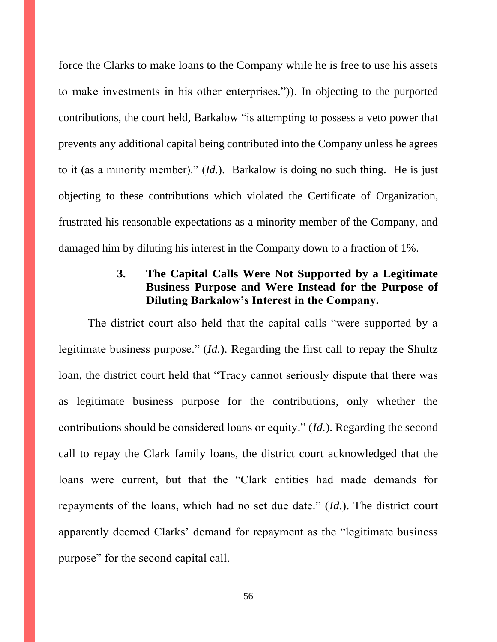force the Clarks to make loans to the Company while he is free to use his assets to make investments in his other enterprises.")). In objecting to the purported contributions, the court held, Barkalow "is attempting to possess a veto power that prevents any additional capital being contributed into the Company unless he agrees to it (as a minority member)." (*Id.*). Barkalow is doing no such thing. He is just objecting to these contributions which violated the Certificate of Organization, frustrated his reasonable expectations as a minority member of the Company, and damaged him by diluting his interest in the Company down to a fraction of 1%.

# **3. The Capital Calls Were Not Supported by a Legitimate Business Purpose and Were Instead for the Purpose of Diluting Barkalow's Interest in the Company.**

The district court also held that the capital calls "were supported by a legitimate business purpose." (*Id.*). Regarding the first call to repay the Shultz loan, the district court held that "Tracy cannot seriously dispute that there was as legitimate business purpose for the contributions, only whether the contributions should be considered loans or equity." (*Id.*). Regarding the second call to repay the Clark family loans, the district court acknowledged that the loans were current, but that the "Clark entities had made demands for repayments of the loans, which had no set due date." (*Id.*). The district court apparently deemed Clarks' demand for repayment as the "legitimate business purpose" for the second capital call.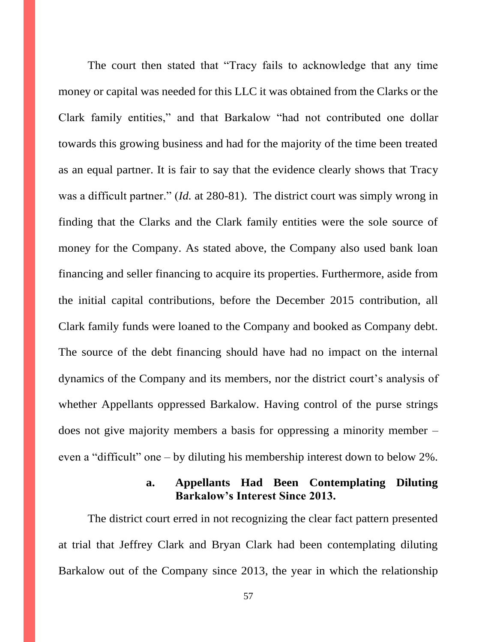The court then stated that "Tracy fails to acknowledge that any time money or capital was needed for this LLC it was obtained from the Clarks or the Clark family entities," and that Barkalow "had not contributed one dollar towards this growing business and had for the majority of the time been treated as an equal partner. It is fair to say that the evidence clearly shows that Tracy was a difficult partner." (*Id.* at 280-81). The district court was simply wrong in finding that the Clarks and the Clark family entities were the sole source of money for the Company. As stated above, the Company also used bank loan financing and seller financing to acquire its properties. Furthermore, aside from the initial capital contributions, before the December 2015 contribution, all Clark family funds were loaned to the Company and booked as Company debt. The source of the debt financing should have had no impact on the internal dynamics of the Company and its members, nor the district court's analysis of whether Appellants oppressed Barkalow. Having control of the purse strings does not give majority members a basis for oppressing a minority member – even a "difficult" one – by diluting his membership interest down to below 2%.

# **a. Appellants Had Been Contemplating Diluting Barkalow's Interest Since 2013.**

The district court erred in not recognizing the clear fact pattern presented at trial that Jeffrey Clark and Bryan Clark had been contemplating diluting Barkalow out of the Company since 2013, the year in which the relationship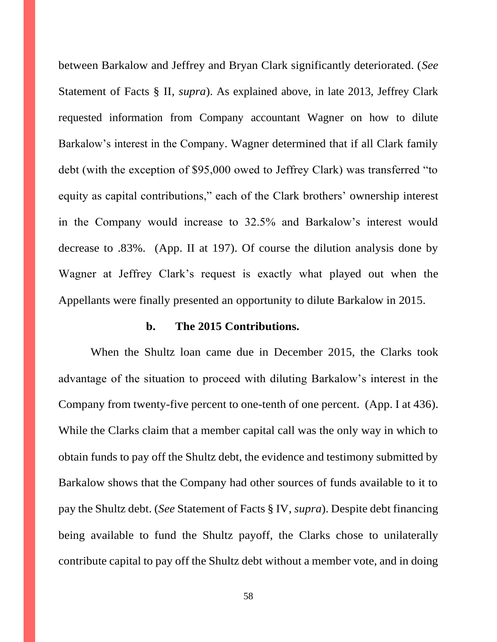between Barkalow and Jeffrey and Bryan Clark significantly deteriorated. (*See*  Statement of Facts § II, *supra*). As explained above, in late 2013, Jeffrey Clark requested information from Company accountant Wagner on how to dilute Barkalow's interest in the Company. Wagner determined that if all Clark family debt (with the exception of \$95,000 owed to Jeffrey Clark) was transferred "to equity as capital contributions," each of the Clark brothers' ownership interest in the Company would increase to 32.5% and Barkalow's interest would decrease to .83%. (App. II at 197). Of course the dilution analysis done by Wagner at Jeffrey Clark's request is exactly what played out when the Appellants were finally presented an opportunity to dilute Barkalow in 2015.

#### **b. The 2015 Contributions.**

When the Shultz loan came due in December 2015, the Clarks took advantage of the situation to proceed with diluting Barkalow's interest in the Company from twenty-five percent to one-tenth of one percent. (App. I at 436). While the Clarks claim that a member capital call was the only way in which to obtain funds to pay off the Shultz debt, the evidence and testimony submitted by Barkalow shows that the Company had other sources of funds available to it to pay the Shultz debt. (*See* Statement of Facts § IV, *supra*). Despite debt financing being available to fund the Shultz payoff, the Clarks chose to unilaterally contribute capital to pay off the Shultz debt without a member vote, and in doing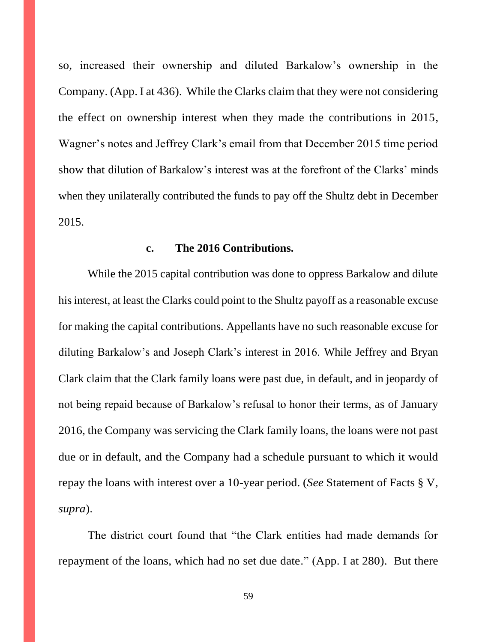so, increased their ownership and diluted Barkalow's ownership in the Company. (App. I at 436). While the Clarks claim that they were not considering the effect on ownership interest when they made the contributions in 2015, Wagner's notes and Jeffrey Clark's email from that December 2015 time period show that dilution of Barkalow's interest was at the forefront of the Clarks' minds when they unilaterally contributed the funds to pay off the Shultz debt in December 2015.

#### **c. The 2016 Contributions.**

While the 2015 capital contribution was done to oppress Barkalow and dilute his interest, at least the Clarks could point to the Shultz payoff as a reasonable excuse for making the capital contributions. Appellants have no such reasonable excuse for diluting Barkalow's and Joseph Clark's interest in 2016. While Jeffrey and Bryan Clark claim that the Clark family loans were past due, in default, and in jeopardy of not being repaid because of Barkalow's refusal to honor their terms, as of January 2016, the Company was servicing the Clark family loans, the loans were not past due or in default, and the Company had a schedule pursuant to which it would repay the loans with interest over a 10-year period. (*See* Statement of Facts § V, *supra*).

The district court found that "the Clark entities had made demands for repayment of the loans, which had no set due date." (App. I at 280). But there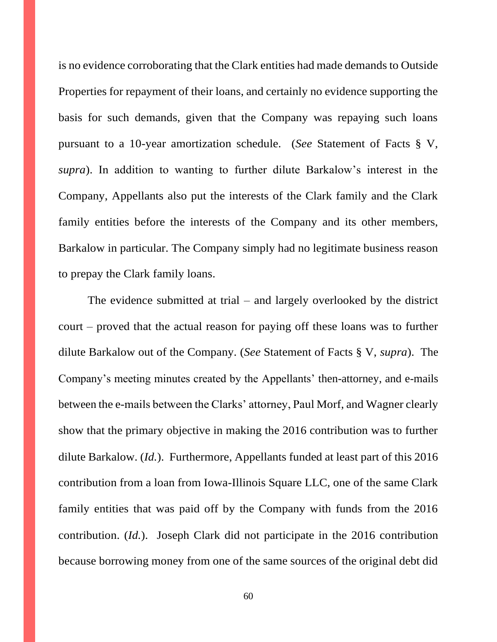is no evidence corroborating that the Clark entities had made demands to Outside Properties for repayment of their loans, and certainly no evidence supporting the basis for such demands, given that the Company was repaying such loans pursuant to a 10-year amortization schedule. (*See* Statement of Facts § V, *supra*). In addition to wanting to further dilute Barkalow's interest in the Company, Appellants also put the interests of the Clark family and the Clark family entities before the interests of the Company and its other members, Barkalow in particular. The Company simply had no legitimate business reason to prepay the Clark family loans.

The evidence submitted at trial – and largely overlooked by the district court – proved that the actual reason for paying off these loans was to further dilute Barkalow out of the Company. (*See* Statement of Facts § V, *supra*). The Company's meeting minutes created by the Appellants' then-attorney, and e-mails between the e-mails between the Clarks' attorney, Paul Morf, and Wagner clearly show that the primary objective in making the 2016 contribution was to further dilute Barkalow. (*Id.*). Furthermore, Appellants funded at least part of this 2016 contribution from a loan from Iowa-Illinois Square LLC, one of the same Clark family entities that was paid off by the Company with funds from the 2016 contribution. (*Id.*). Joseph Clark did not participate in the 2016 contribution because borrowing money from one of the same sources of the original debt did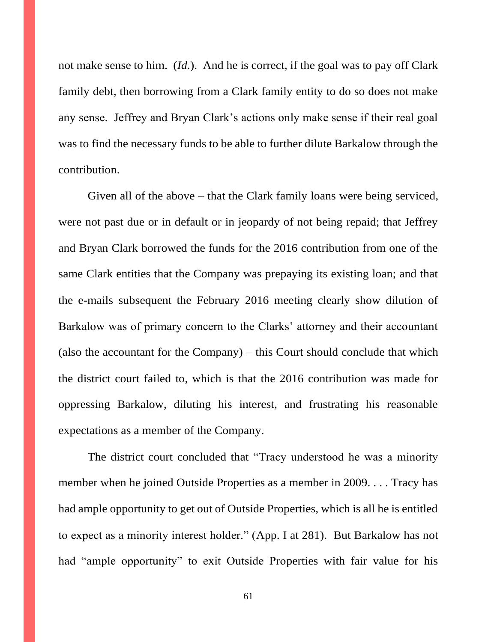not make sense to him. (*Id.*). And he is correct, if the goal was to pay off Clark family debt, then borrowing from a Clark family entity to do so does not make any sense. Jeffrey and Bryan Clark's actions only make sense if their real goal was to find the necessary funds to be able to further dilute Barkalow through the contribution.

Given all of the above – that the Clark family loans were being serviced, were not past due or in default or in jeopardy of not being repaid; that Jeffrey and Bryan Clark borrowed the funds for the 2016 contribution from one of the same Clark entities that the Company was prepaying its existing loan; and that the e-mails subsequent the February 2016 meeting clearly show dilution of Barkalow was of primary concern to the Clarks' attorney and their accountant (also the accountant for the Company) – this Court should conclude that which the district court failed to, which is that the 2016 contribution was made for oppressing Barkalow, diluting his interest, and frustrating his reasonable expectations as a member of the Company.

The district court concluded that "Tracy understood he was a minority member when he joined Outside Properties as a member in 2009. . . . Tracy has had ample opportunity to get out of Outside Properties, which is all he is entitled to expect as a minority interest holder." (App. I at 281). But Barkalow has not had "ample opportunity" to exit Outside Properties with fair value for his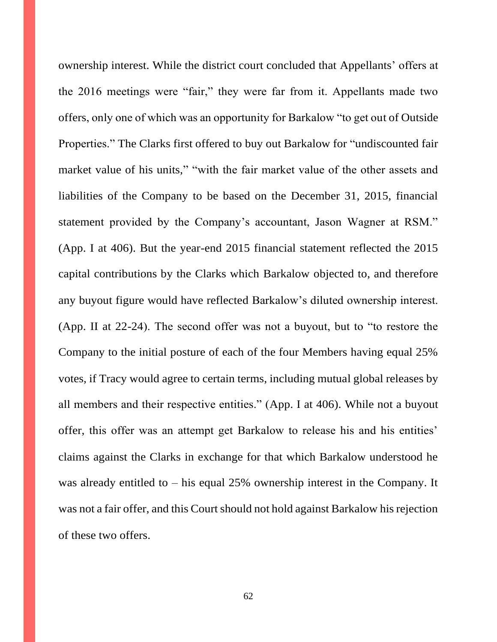ownership interest. While the district court concluded that Appellants' offers at the 2016 meetings were "fair," they were far from it. Appellants made two offers, only one of which was an opportunity for Barkalow "to get out of Outside Properties." The Clarks first offered to buy out Barkalow for "undiscounted fair market value of his units," "with the fair market value of the other assets and liabilities of the Company to be based on the December 31, 2015, financial statement provided by the Company's accountant, Jason Wagner at RSM." (App. I at 406). But the year-end 2015 financial statement reflected the 2015 capital contributions by the Clarks which Barkalow objected to, and therefore any buyout figure would have reflected Barkalow's diluted ownership interest. (App. II at 22-24). The second offer was not a buyout, but to "to restore the Company to the initial posture of each of the four Members having equal 25% votes, if Tracy would agree to certain terms, including mutual global releases by all members and their respective entities." (App. I at 406). While not a buyout offer, this offer was an attempt get Barkalow to release his and his entities' claims against the Clarks in exchange for that which Barkalow understood he was already entitled to – his equal 25% ownership interest in the Company. It was not a fair offer, and this Court should not hold against Barkalow his rejection of these two offers.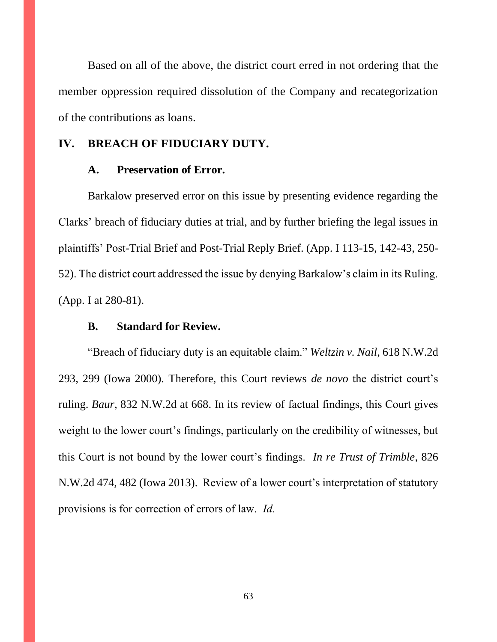Based on all of the above, the district court erred in not ordering that the member oppression required dissolution of the Company and recategorization of the contributions as loans.

### **IV. BREACH OF FIDUCIARY DUTY.**

#### **A. Preservation of Error.**

Barkalow preserved error on this issue by presenting evidence regarding the Clarks' breach of fiduciary duties at trial, and by further briefing the legal issues in plaintiffs' Post-Trial Brief and Post-Trial Reply Brief. (App. I 113-15, 142-43, 250- 52). The district court addressed the issue by denying Barkalow's claim in its Ruling. (App. I at 280-81).

### **B. Standard for Review.**

"Breach of fiduciary duty is an equitable claim." *Weltzin v. Nail*, 618 N.W.2d 293, 299 (Iowa 2000). Therefore, this Court reviews *de novo* the district court's ruling. *Baur*, 832 N.W.2d at 668. In its review of factual findings, this Court gives weight to the lower court's findings, particularly on the credibility of witnesses, but this Court is not bound by the lower court's findings. *In re Trust of Trimble*, 826 N.W.2d 474, 482 (Iowa 2013). Review of a lower court's interpretation of statutory provisions is for correction of errors of law. *Id.*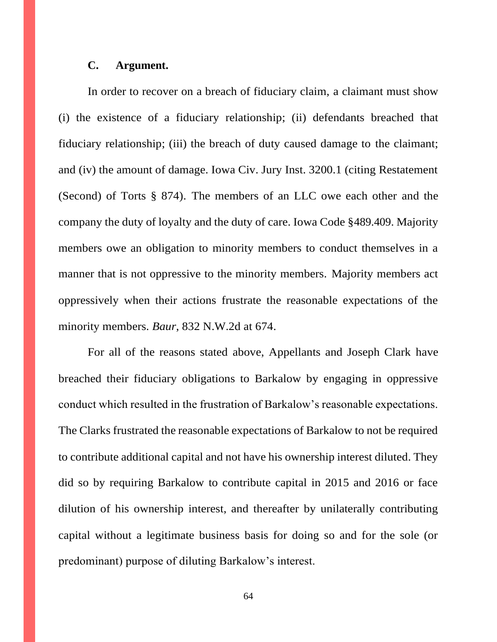#### **C. Argument.**

In order to recover on a breach of fiduciary claim, a claimant must show (i) the existence of a fiduciary relationship; (ii) defendants breached that fiduciary relationship; (iii) the breach of duty caused damage to the claimant; and (iv) the amount of damage. Iowa Civ. Jury Inst. 3200.1 (citing Restatement (Second) of Torts § 874). The members of an LLC owe each other and the company the duty of loyalty and the duty of care. Iowa Code §489.409. Majority members owe an obligation to minority members to conduct themselves in a manner that is not oppressive to the minority members. Majority members act oppressively when their actions frustrate the reasonable expectations of the minority members. *Baur*, 832 N.W.2d at 674.

For all of the reasons stated above, Appellants and Joseph Clark have breached their fiduciary obligations to Barkalow by engaging in oppressive conduct which resulted in the frustration of Barkalow's reasonable expectations. The Clarks frustrated the reasonable expectations of Barkalow to not be required to contribute additional capital and not have his ownership interest diluted. They did so by requiring Barkalow to contribute capital in 2015 and 2016 or face dilution of his ownership interest, and thereafter by unilaterally contributing capital without a legitimate business basis for doing so and for the sole (or predominant) purpose of diluting Barkalow's interest.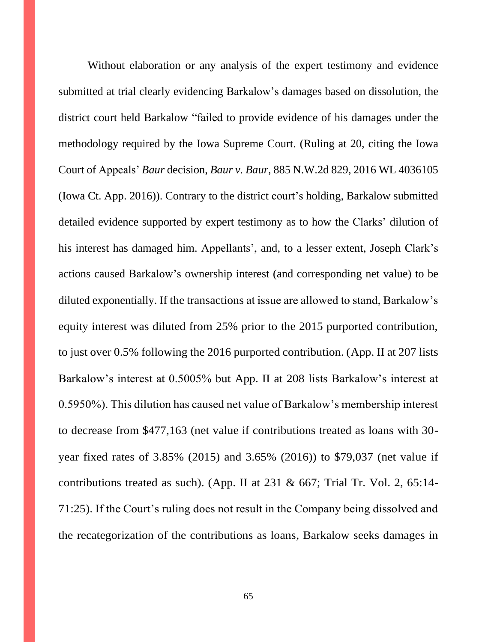Without elaboration or any analysis of the expert testimony and evidence submitted at trial clearly evidencing Barkalow's damages based on dissolution, the district court held Barkalow "failed to provide evidence of his damages under the methodology required by the Iowa Supreme Court. (Ruling at 20, citing the Iowa Court of Appeals' *Baur* decision, *Baur v. Baur*, 885 N.W.2d 829, 2016 WL 4036105 (Iowa Ct. App. 2016)). Contrary to the district court's holding, Barkalow submitted detailed evidence supported by expert testimony as to how the Clarks' dilution of his interest has damaged him. Appellants', and, to a lesser extent, Joseph Clark's actions caused Barkalow's ownership interest (and corresponding net value) to be diluted exponentially. If the transactions at issue are allowed to stand, Barkalow's equity interest was diluted from 25% prior to the 2015 purported contribution, to just over 0.5% following the 2016 purported contribution. (App. II at 207 lists Barkalow's interest at 0.5005% but App. II at 208 lists Barkalow's interest at 0.5950%). This dilution has caused net value of Barkalow's membership interest to decrease from \$477,163 (net value if contributions treated as loans with 30 year fixed rates of 3.85% (2015) and 3.65% (2016)) to \$79,037 (net value if contributions treated as such). (App. II at  $231 \& 667$ ; Trial Tr. Vol. 2, 65:14-71:25). If the Court's ruling does not result in the Company being dissolved and the recategorization of the contributions as loans, Barkalow seeks damages in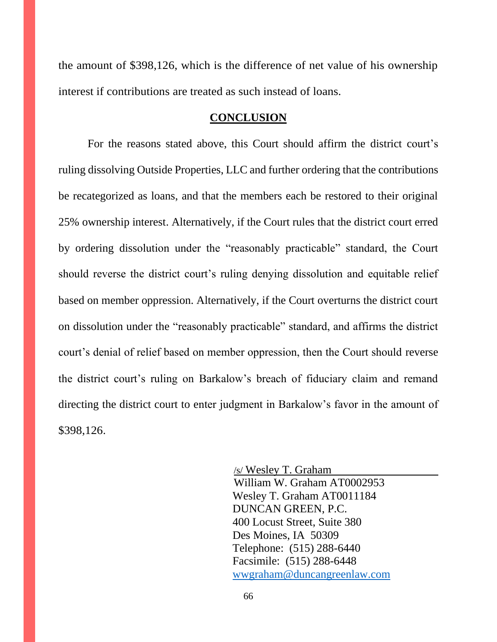the amount of \$398,126, which is the difference of net value of his ownership interest if contributions are treated as such instead of loans.

#### **CONCLUSION**

For the reasons stated above, this Court should affirm the district court's ruling dissolving Outside Properties, LLC and further ordering that the contributions be recategorized as loans, and that the members each be restored to their original 25% ownership interest. Alternatively, if the Court rules that the district court erred by ordering dissolution under the "reasonably practicable" standard, the Court should reverse the district court's ruling denying dissolution and equitable relief based on member oppression. Alternatively, if the Court overturns the district court on dissolution under the "reasonably practicable" standard, and affirms the district court's denial of relief based on member oppression, then the Court should reverse the district court's ruling on Barkalow's breach of fiduciary claim and remand directing the district court to enter judgment in Barkalow's favor in the amount of \$398,126.

> /s/ Wesley T. Graham William W. Graham AT0002953 Wesley T. Graham AT0011184 DUNCAN GREEN, P.C. 400 Locust Street, Suite 380 Des Moines, IA 50309 Telephone: (515) 288-6440 Facsimile: (515) 288-6448 [wwgraham@duncangreenlaw.com](mailto:wwgraham@duncangreenlaw.com)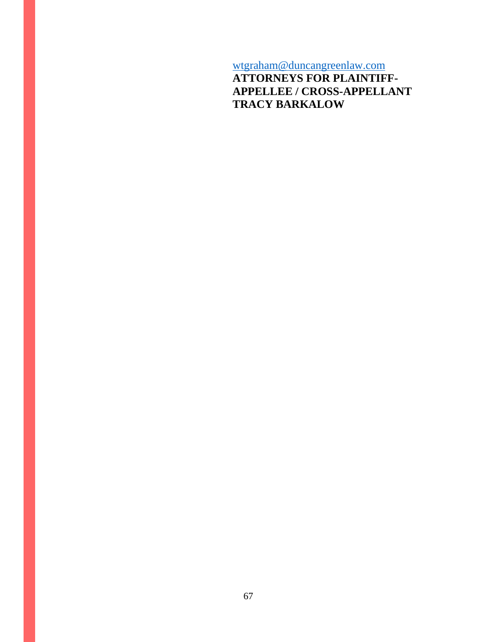[wtgraham@duncangreenlaw.com](mailto:wtgraham@duncangreenlaw.com)

**ATTORNEYS FOR PLAINTIFF-APPELLEE / CROSS-APPELLANT TRACY BARKALOW**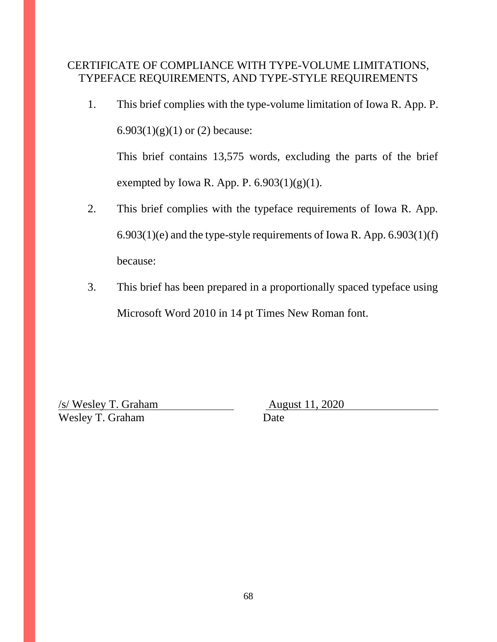# CERTIFICATE OF COMPLIANCE WITH TYPE-VOLUME LIMITATIONS, TYPEFACE REQUIREMENTS, AND TYPE-STYLE REQUIREMENTS

1. This brief complies with the type-volume limitation of Iowa R. App. P. 6.903 $(1)(g)(1)$  or  $(2)$  because:

This brief contains 13,575 words, excluding the parts of the brief exempted by Iowa R. App. P.  $6.903(1)(g)(1)$ .

- 2. This brief complies with the typeface requirements of Iowa R. App. 6.903(1)(e) and the type-style requirements of Iowa R. App. 6.903(1)(f) because:
- 3. This brief has been prepared in a proportionally spaced typeface using Microsoft Word 2010 in 14 pt Times New Roman font.

<u>/s/ Wesley T. Graham August 11, 2020</u> Wesley T. Graham Date